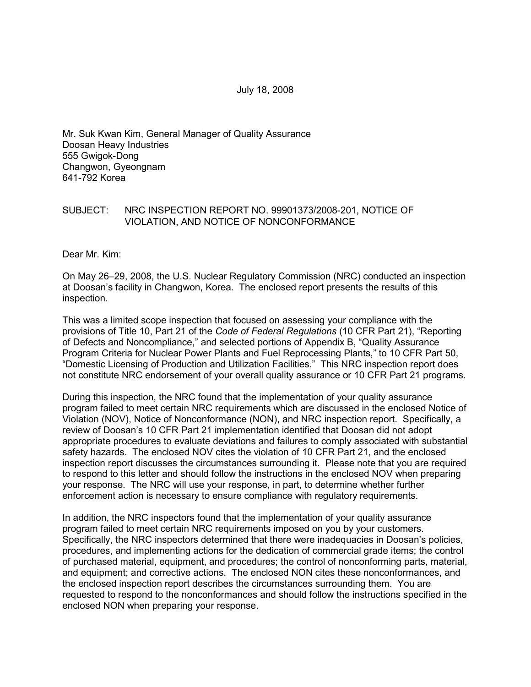July 18, 2008

Mr. Suk Kwan Kim, General Manager of Quality Assurance Doosan Heavy Industries 555 Gwigok-Dong Changwon, Gyeongnam 641-792 Korea

### SUBJECT: NRC INSPECTION REPORT NO. 99901373/2008-201, NOTICE OF VIOLATION, AND NOTICE OF NONCONFORMANCE

Dear Mr. Kim:

On May 26–29, 2008, the U.S. Nuclear Regulatory Commission (NRC) conducted an inspection at Doosan's facility in Changwon, Korea. The enclosed report presents the results of this inspection.

This was a limited scope inspection that focused on assessing your compliance with the provisions of Title 10, Part 21 of the *Code of Federal Regulations* (10 CFR Part 21), "Reporting of Defects and Noncompliance," and selected portions of Appendix B, "Quality Assurance Program Criteria for Nuclear Power Plants and Fuel Reprocessing Plants," to 10 CFR Part 50, "Domestic Licensing of Production and Utilization Facilities." This NRC inspection report does not constitute NRC endorsement of your overall quality assurance or 10 CFR Part 21 programs.

During this inspection, the NRC found that the implementation of your quality assurance program failed to meet certain NRC requirements which are discussed in the enclosed Notice of Violation (NOV), Notice of Nonconformance (NON), and NRC inspection report. Specifically, a review of Doosan's 10 CFR Part 21 implementation identified that Doosan did not adopt appropriate procedures to evaluate deviations and failures to comply associated with substantial safety hazards. The enclosed NOV cites the violation of 10 CFR Part 21, and the enclosed inspection report discusses the circumstances surrounding it. Please note that you are required to respond to this letter and should follow the instructions in the enclosed NOV when preparing your response. The NRC will use your response, in part, to determine whether further enforcement action is necessary to ensure compliance with regulatory requirements.

In addition, the NRC inspectors found that the implementation of your quality assurance program failed to meet certain NRC requirements imposed on you by your customers. Specifically, the NRC inspectors determined that there were inadequacies in Doosan's policies, procedures, and implementing actions for the dedication of commercial grade items; the control of purchased material, equipment, and procedures; the control of nonconforming parts, material, and equipment; and corrective actions. The enclosed NON cites these nonconformances, and the enclosed inspection report describes the circumstances surrounding them. You are requested to respond to the nonconformances and should follow the instructions specified in the enclosed NON when preparing your response.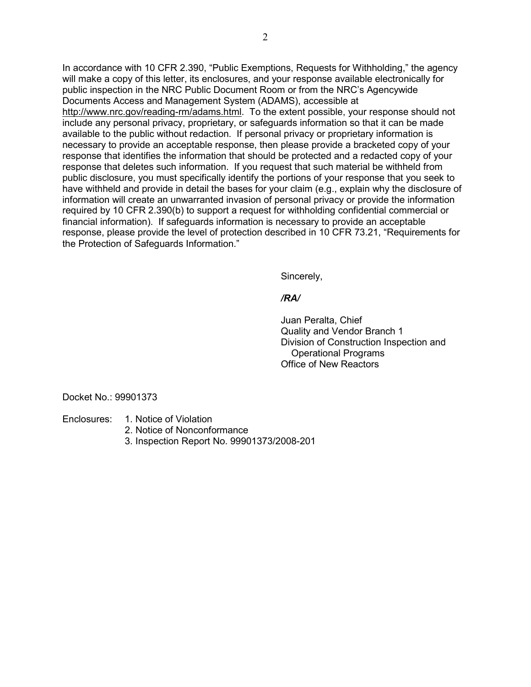In accordance with 10 CFR 2.390, "Public Exemptions, Requests for Withholding," the agency will make a copy of this letter, its enclosures, and your response available electronically for public inspection in the NRC Public Document Room or from the NRC's Agencywide Documents Access and Management System (ADAMS), accessible at http://www.nrc.gov/reading-rm/adams.html. To the extent possible, your response should not include any personal privacy, proprietary, or safeguards information so that it can be made available to the public without redaction. If personal privacy or proprietary information is necessary to provide an acceptable response, then please provide a bracketed copy of your response that identifies the information that should be protected and a redacted copy of your response that deletes such information. If you request that such material be withheld from public disclosure, you must specifically identify the portions of your response that you seek to have withheld and provide in detail the bases for your claim (e.g., explain why the disclosure of information will create an unwarranted invasion of personal privacy or provide the information required by 10 CFR 2.390(b) to support a request for withholding confidential commercial or financial information). If safeguards information is necessary to provide an acceptable response, please provide the level of protection described in 10 CFR 73.21, "Requirements for the Protection of Safeguards Information."

Sincerely,

### */RA/*

 Juan Peralta, Chief Quality and Vendor Branch 1 Division of Construction Inspection and Operational Programs Office of New Reactors

Docket No.: 99901373

Enclosures: 1. Notice of Violation

- 2. Notice of Nonconformance
- 3. Inspection Report No. 99901373/2008-201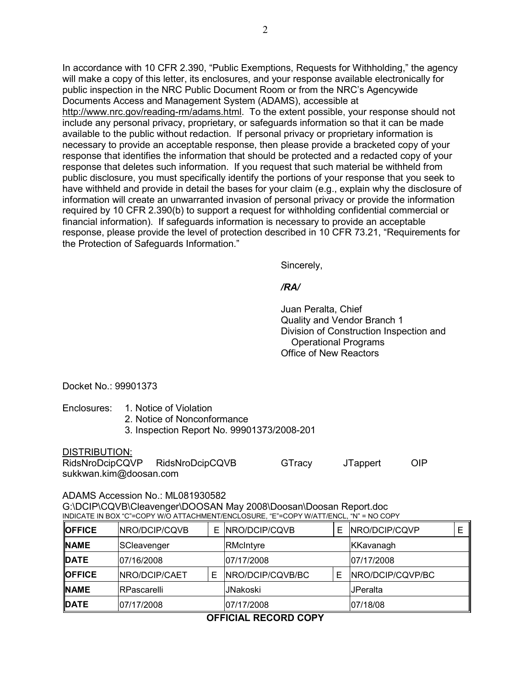In accordance with 10 CFR 2.390, "Public Exemptions, Requests for Withholding," the agency will make a copy of this letter, its enclosures, and your response available electronically for public inspection in the NRC Public Document Room or from the NRC's Agencywide Documents Access and Management System (ADAMS), accessible at http://www.nrc.gov/reading-rm/adams.html. To the extent possible, your response should not include any personal privacy, proprietary, or safeguards information so that it can be made available to the public without redaction. If personal privacy or proprietary information is necessary to provide an acceptable response, then please provide a bracketed copy of your response that identifies the information that should be protected and a redacted copy of your response that deletes such information. If you request that such material be withheld from public disclosure, you must specifically identify the portions of your response that you seek to have withheld and provide in detail the bases for your claim (e.g., explain why the disclosure of information will create an unwarranted invasion of personal privacy or provide the information required by 10 CFR 2.390(b) to support a request for withholding confidential commercial or financial information). If safeguards information is necessary to provide an acceptable response, please provide the level of protection described in 10 CFR 73.21, "Requirements for the Protection of Safeguards Information."

Sincerely,

### */RA/*

 Juan Peralta, Chief Quality and Vendor Branch 1 Division of Construction Inspection and Operational Programs Office of New Reactors

Docket No.: 99901373

- Enclosures: 1. Notice of Violation
	- 2. Notice of Nonconformance
	- 3. Inspection Report No. 99901373/2008-201

DISTRIBUTION:

RidsNroDcipCQVP RidsNroDcipCQVB GTracy JTappert OIP sukkwan.kim@doosan.com

### ADAMS Accession No.: ML081930582

G:\DCIP\CQVB\Cleavenger\DOOSAN May 2008\Doosan\Doosan Report.doc INDICATE IN BOX "C"=COPY W/O ATTACHMENT/ENCLOSURE, "E"=COPY W/ATT/ENCL, "N" = NO COPY

| <b>OFFICE</b>             | NRO/DCIP/CQVB | E.         | NRO/DCIP/CQVB    | E        | <b>INRO/DCIP/CQVP</b> |  |
|---------------------------|---------------|------------|------------------|----------|-----------------------|--|
| <b>NAME</b>               | SCleavenger   |            | RMcIntyre        |          | KKavanagh             |  |
| <b>IDATE</b>              | 107/16/2008   |            | 07/17/2008       |          | 07/17/2008            |  |
| <b>OFFICE</b>             | NRO/DCIP/CAET |            | NRO/DCIP/CQVB/BC | E        | NRO/DCIP/CQVP/BC      |  |
| <b>NAME</b>               | RPascarelli   |            | <b>JNakoski</b>  |          | <b>JPeralta</b>       |  |
| <b>DATE</b><br>07/17/2008 |               | 07/17/2008 |                  | 07/18/08 |                       |  |

## **OFFICIAL RECORD COPY**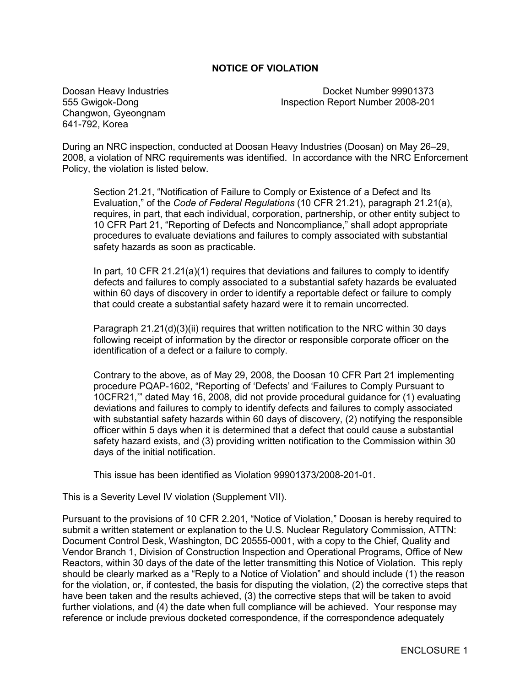### **NOTICE OF VIOLATION**

Changwon, Gyeongnam 641-792, Korea

Doosan Heavy Industries Docket Number 99901373 555 Gwigok-Dong Inspection Report Number 2008-201

During an NRC inspection, conducted at Doosan Heavy Industries (Doosan) on May 26–29, 2008, a violation of NRC requirements was identified. In accordance with the NRC Enforcement Policy, the violation is listed below.

Section 21.21, "Notification of Failure to Comply or Existence of a Defect and Its Evaluation," of the *Code of Federal Regulations* (10 CFR 21.21), paragraph 21.21(a), requires, in part, that each individual, corporation, partnership, or other entity subject to 10 CFR Part 21, "Reporting of Defects and Noncompliance," shall adopt appropriate procedures to evaluate deviations and failures to comply associated with substantial safety hazards as soon as practicable.

In part, 10 CFR 21.21(a)(1) requires that deviations and failures to comply to identify defects and failures to comply associated to a substantial safety hazards be evaluated within 60 days of discovery in order to identify a reportable defect or failure to comply that could create a substantial safety hazard were it to remain uncorrected.

Paragraph 21.21(d)(3)(ii) requires that written notification to the NRC within 30 days following receipt of information by the director or responsible corporate officer on the identification of a defect or a failure to comply.

Contrary to the above, as of May 29, 2008, the Doosan 10 CFR Part 21 implementing procedure PQAP-1602, "Reporting of 'Defects' and 'Failures to Comply Pursuant to 10CFR21,'" dated May 16, 2008, did not provide procedural guidance for (1) evaluating deviations and failures to comply to identify defects and failures to comply associated with substantial safety hazards within 60 days of discovery, (2) notifying the responsible officer within 5 days when it is determined that a defect that could cause a substantial safety hazard exists, and (3) providing written notification to the Commission within 30 days of the initial notification.

This issue has been identified as Violation 99901373/2008-201-01.

This is a Severity Level IV violation (Supplement VII).

Pursuant to the provisions of 10 CFR 2.201, "Notice of Violation," Doosan is hereby required to submit a written statement or explanation to the U.S. Nuclear Regulatory Commission, ATTN: Document Control Desk, Washington, DC 20555-0001, with a copy to the Chief, Quality and Vendor Branch 1, Division of Construction Inspection and Operational Programs, Office of New Reactors, within 30 days of the date of the letter transmitting this Notice of Violation. This reply should be clearly marked as a "Reply to a Notice of Violation" and should include (1) the reason for the violation, or, if contested, the basis for disputing the violation, (2) the corrective steps that have been taken and the results achieved, (3) the corrective steps that will be taken to avoid further violations, and (4) the date when full compliance will be achieved. Your response may reference or include previous docketed correspondence, if the correspondence adequately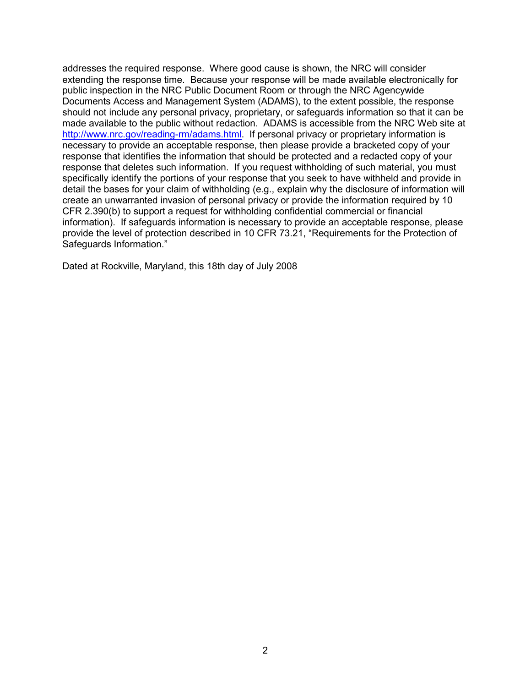addresses the required response. Where good cause is shown, the NRC will consider extending the response time. Because your response will be made available electronically for public inspection in the NRC Public Document Room or through the NRC Agencywide Documents Access and Management System (ADAMS), to the extent possible, the response should not include any personal privacy, proprietary, or safeguards information so that it can be made available to the public without redaction. ADAMS is accessible from the NRC Web site at http://www.nrc.gov/reading-rm/adams.html. If personal privacy or proprietary information is necessary to provide an acceptable response, then please provide a bracketed copy of your response that identifies the information that should be protected and a redacted copy of your response that deletes such information. If you request withholding of such material, you must specifically identify the portions of your response that you seek to have withheld and provide in detail the bases for your claim of withholding (e.g., explain why the disclosure of information will create an unwarranted invasion of personal privacy or provide the information required by 10 CFR 2.390(b) to support a request for withholding confidential commercial or financial information). If safeguards information is necessary to provide an acceptable response, please provide the level of protection described in 10 CFR 73.21, "Requirements for the Protection of Safeguards Information."

Dated at Rockville, Maryland, this 18th day of July 2008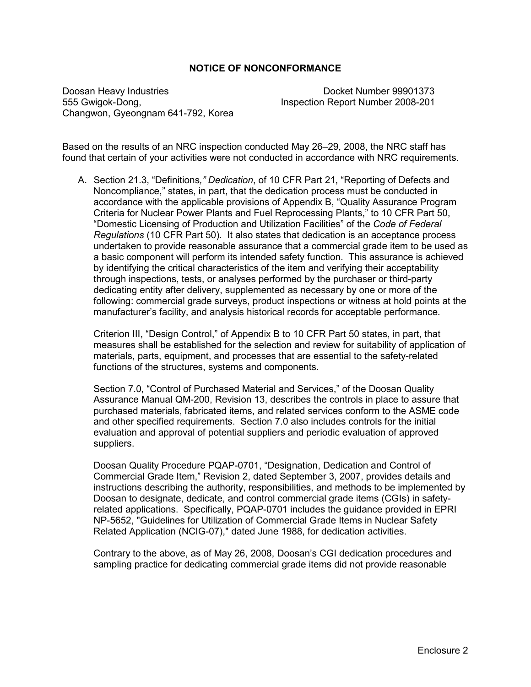### **NOTICE OF NONCONFORMANCE**

Doosan Heavy Industries Docket Number 99901373 555 Gwigok-Dong, Inspection Report Number 2008-201 Changwon, Gyeongnam 641-792, Korea

Based on the results of an NRC inspection conducted May 26–29, 2008, the NRC staff has found that certain of your activities were not conducted in accordance with NRC requirements.

A. Section 21.3, "Definitions*," Dedication*, of 10 CFR Part 21, "Reporting of Defects and Noncompliance," states, in part, that the dedication process must be conducted in accordance with the applicable provisions of Appendix B, "Quality Assurance Program Criteria for Nuclear Power Plants and Fuel Reprocessing Plants," to 10 CFR Part 50, "Domestic Licensing of Production and Utilization Facilities" of the *Code of Federal Regulations* (10 CFR Part 50). It also states that dedication is an acceptance process undertaken to provide reasonable assurance that a commercial grade item to be used as a basic component will perform its intended safety function. This assurance is achieved by identifying the critical characteristics of the item and verifying their acceptability through inspections, tests, or analyses performed by the purchaser or third-party dedicating entity after delivery, supplemented as necessary by one or more of the following: commercial grade surveys, product inspections or witness at hold points at the manufacturer's facility, and analysis historical records for acceptable performance.

Criterion III, "Design Control," of Appendix B to 10 CFR Part 50 states, in part, that measures shall be established for the selection and review for suitability of application of materials, parts, equipment, and processes that are essential to the safety-related functions of the structures, systems and components.

Section 7.0, "Control of Purchased Material and Services," of the Doosan Quality Assurance Manual QM-200, Revision 13, describes the controls in place to assure that purchased materials, fabricated items, and related services conform to the ASME code and other specified requirements. Section 7.0 also includes controls for the initial evaluation and approval of potential suppliers and periodic evaluation of approved suppliers.

Doosan Quality Procedure PQAP-0701, "Designation, Dedication and Control of Commercial Grade Item," Revision 2, dated September 3, 2007, provides details and instructions describing the authority, responsibilities, and methods to be implemented by Doosan to designate, dedicate, and control commercial grade items (CGIs) in safetyrelated applications. Specifically, PQAP-0701 includes the guidance provided in EPRI NP-5652, "Guidelines for Utilization of Commercial Grade Items in Nuclear Safety Related Application (NCIG-07)," dated June 1988, for dedication activities.

Contrary to the above, as of May 26, 2008, Doosan's CGI dedication procedures and sampling practice for dedicating commercial grade items did not provide reasonable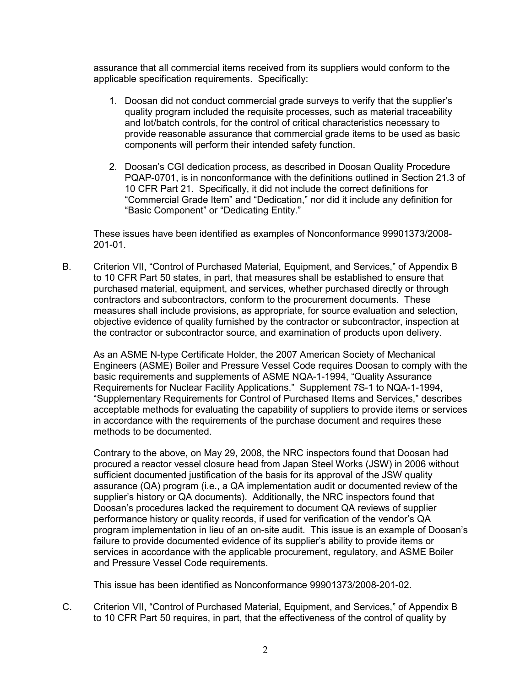assurance that all commercial items received from its suppliers would conform to the applicable specification requirements. Specifically:

- 1. Doosan did not conduct commercial grade surveys to verify that the supplier's quality program included the requisite processes, such as material traceability and lot/batch controls, for the control of critical characteristics necessary to provide reasonable assurance that commercial grade items to be used as basic components will perform their intended safety function.
- 2. Doosan's CGI dedication process, as described in Doosan Quality Procedure PQAP-0701, is in nonconformance with the definitions outlined in Section 21.3 of 10 CFR Part 21. Specifically, it did not include the correct definitions for "Commercial Grade Item" and "Dedication," nor did it include any definition for "Basic Component" or "Dedicating Entity."

These issues have been identified as examples of Nonconformance 99901373/2008- 201-01.

B. Criterion VII, "Control of Purchased Material, Equipment, and Services," of Appendix B to 10 CFR Part 50 states, in part, that measures shall be established to ensure that purchased material, equipment, and services, whether purchased directly or through contractors and subcontractors, conform to the procurement documents. These measures shall include provisions, as appropriate, for source evaluation and selection, objective evidence of quality furnished by the contractor or subcontractor, inspection at the contractor or subcontractor source, and examination of products upon delivery.

As an ASME N-type Certificate Holder, the 2007 American Society of Mechanical Engineers (ASME) Boiler and Pressure Vessel Code requires Doosan to comply with the basic requirements and supplements of ASME NQA-1-1994, "Quality Assurance Requirements for Nuclear Facility Applications." Supplement 7S-1 to NQA-1-1994, "Supplementary Requirements for Control of Purchased Items and Services," describes acceptable methods for evaluating the capability of suppliers to provide items or services in accordance with the requirements of the purchase document and requires these methods to be documented.

Contrary to the above, on May 29, 2008, the NRC inspectors found that Doosan had procured a reactor vessel closure head from Japan Steel Works (JSW) in 2006 without sufficient documented justification of the basis for its approval of the JSW quality assurance (QA) program (i.e., a QA implementation audit or documented review of the supplier's history or QA documents). Additionally, the NRC inspectors found that Doosan's procedures lacked the requirement to document QA reviews of supplier performance history or quality records, if used for verification of the vendor's QA program implementation in lieu of an on-site audit. This issue is an example of Doosan's failure to provide documented evidence of its supplier's ability to provide items or services in accordance with the applicable procurement, regulatory, and ASME Boiler and Pressure Vessel Code requirements.

This issue has been identified as Nonconformance 99901373/2008-201-02.

C. Criterion VII, "Control of Purchased Material, Equipment, and Services," of Appendix B to 10 CFR Part 50 requires, in part, that the effectiveness of the control of quality by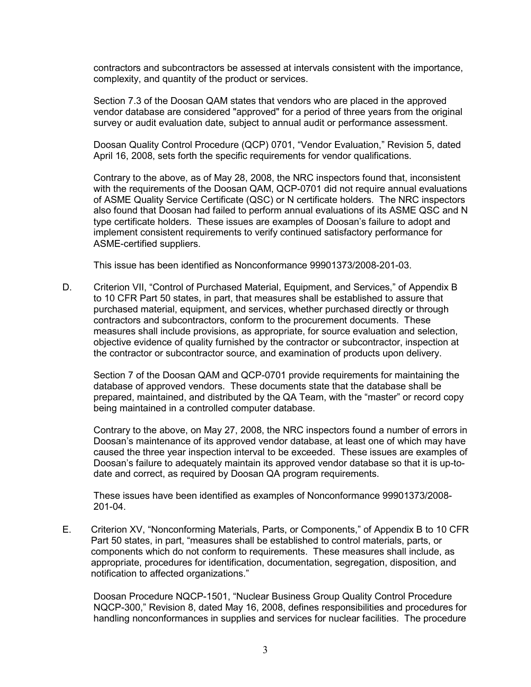contractors and subcontractors be assessed at intervals consistent with the importance, complexity, and quantity of the product or services.

Section 7.3 of the Doosan QAM states that vendors who are placed in the approved vendor database are considered "approved" for a period of three years from the original survey or audit evaluation date, subject to annual audit or performance assessment.

Doosan Quality Control Procedure (QCP) 0701, "Vendor Evaluation," Revision 5, dated April 16, 2008, sets forth the specific requirements for vendor qualifications.

Contrary to the above, as of May 28, 2008, the NRC inspectors found that, inconsistent with the requirements of the Doosan QAM, QCP-0701 did not require annual evaluations of ASME Quality Service Certificate (QSC) or N certificate holders. The NRC inspectors also found that Doosan had failed to perform annual evaluations of its ASME QSC and N type certificate holders. These issues are examples of Doosan's failure to adopt and implement consistent requirements to verify continued satisfactory performance for ASME-certified suppliers.

This issue has been identified as Nonconformance 99901373/2008-201-03.

D. Criterion VII, "Control of Purchased Material, Equipment, and Services," of Appendix B to 10 CFR Part 50 states, in part, that measures shall be established to assure that purchased material, equipment, and services, whether purchased directly or through contractors and subcontractors, conform to the procurement documents. These measures shall include provisions, as appropriate, for source evaluation and selection, objective evidence of quality furnished by the contractor or subcontractor, inspection at the contractor or subcontractor source, and examination of products upon delivery.

Section 7 of the Doosan QAM and QCP-0701 provide requirements for maintaining the database of approved vendors. These documents state that the database shall be prepared, maintained, and distributed by the QA Team, with the "master" or record copy being maintained in a controlled computer database.

Contrary to the above, on May 27, 2008, the NRC inspectors found a number of errors in Doosan's maintenance of its approved vendor database, at least one of which may have caused the three year inspection interval to be exceeded. These issues are examples of Doosan's failure to adequately maintain its approved vendor database so that it is up-todate and correct, as required by Doosan QA program requirements.

These issues have been identified as examples of Nonconformance 99901373/2008- 201-04.

E. Criterion XV, "Nonconforming Materials, Parts, or Components," of Appendix B to 10 CFR Part 50 states, in part, "measures shall be established to control materials, parts, or components which do not conform to requirements. These measures shall include, as appropriate, procedures for identification, documentation, segregation, disposition, and notification to affected organizations."

Doosan Procedure NQCP-1501, "Nuclear Business Group Quality Control Procedure NQCP-300," Revision 8, dated May 16, 2008, defines responsibilities and procedures for handling nonconformances in supplies and services for nuclear facilities. The procedure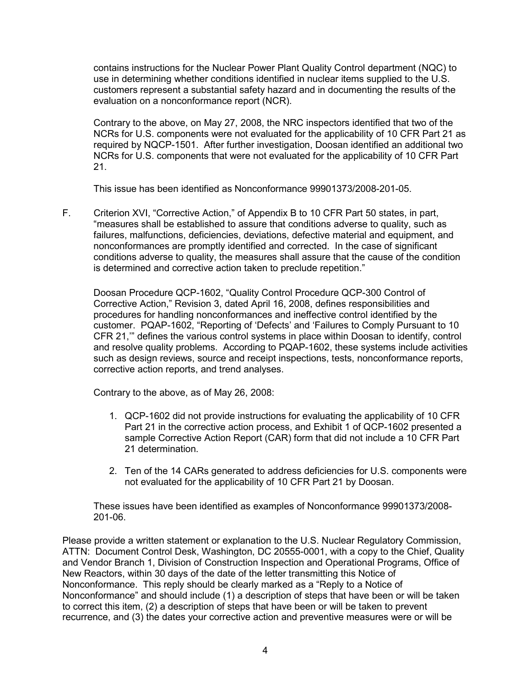contains instructions for the Nuclear Power Plant Quality Control department (NQC) to use in determining whether conditions identified in nuclear items supplied to the U.S. customers represent a substantial safety hazard and in documenting the results of the evaluation on a nonconformance report (NCR).

Contrary to the above, on May 27, 2008, the NRC inspectors identified that two of the NCRs for U.S. components were not evaluated for the applicability of 10 CFR Part 21 as required by NQCP-1501. After further investigation, Doosan identified an additional two NCRs for U.S. components that were not evaluated for the applicability of 10 CFR Part 21.

This issue has been identified as Nonconformance 99901373/2008-201-05.

F. Criterion XVI, "Corrective Action," of Appendix B to 10 CFR Part 50 states, in part, "measures shall be established to assure that conditions adverse to quality, such as failures, malfunctions, deficiencies, deviations, defective material and equipment, and nonconformances are promptly identified and corrected. In the case of significant conditions adverse to quality, the measures shall assure that the cause of the condition is determined and corrective action taken to preclude repetition."

Doosan Procedure QCP-1602, "Quality Control Procedure QCP-300 Control of Corrective Action," Revision 3, dated April 16, 2008, defines responsibilities and procedures for handling nonconformances and ineffective control identified by the customer. PQAP-1602, "Reporting of 'Defects' and 'Failures to Comply Pursuant to 10 CFR 21,'" defines the various control systems in place within Doosan to identify, control and resolve quality problems. According to PQAP-1602, these systems include activities such as design reviews, source and receipt inspections, tests, nonconformance reports, corrective action reports, and trend analyses.

Contrary to the above, as of May 26, 2008:

- 1. QCP-1602 did not provide instructions for evaluating the applicability of 10 CFR Part 21 in the corrective action process, and Exhibit 1 of QCP-1602 presented a sample Corrective Action Report (CAR) form that did not include a 10 CFR Part 21 determination.
- 2. Ten of the 14 CARs generated to address deficiencies for U.S. components were not evaluated for the applicability of 10 CFR Part 21 by Doosan.

These issues have been identified as examples of Nonconformance 99901373/2008- 201-06.

Please provide a written statement or explanation to the U.S. Nuclear Regulatory Commission, ATTN: Document Control Desk, Washington, DC 20555-0001, with a copy to the Chief, Quality and Vendor Branch 1, Division of Construction Inspection and Operational Programs, Office of New Reactors, within 30 days of the date of the letter transmitting this Notice of Nonconformance. This reply should be clearly marked as a "Reply to a Notice of Nonconformance" and should include (1) a description of steps that have been or will be taken to correct this item, (2) a description of steps that have been or will be taken to prevent recurrence, and (3) the dates your corrective action and preventive measures were or will be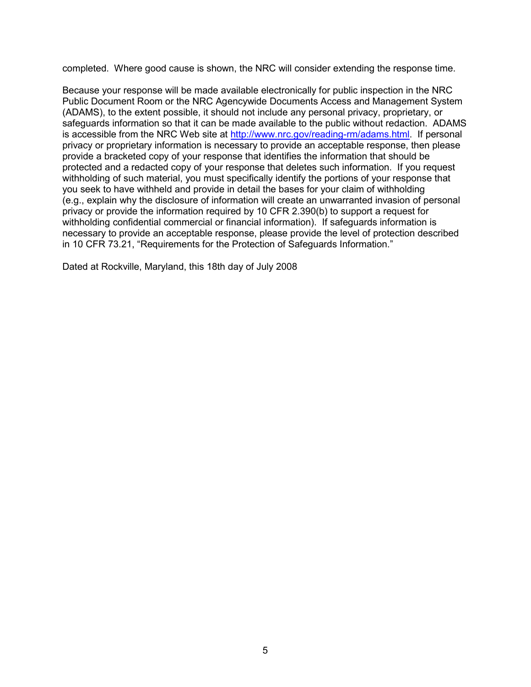completed. Where good cause is shown, the NRC will consider extending the response time.

Because your response will be made available electronically for public inspection in the NRC Public Document Room or the NRC Agencywide Documents Access and Management System (ADAMS), to the extent possible, it should not include any personal privacy, proprietary, or safeguards information so that it can be made available to the public without redaction. ADAMS is accessible from the NRC Web site at http://www.nrc.gov/reading-rm/adams.html. If personal privacy or proprietary information is necessary to provide an acceptable response, then please provide a bracketed copy of your response that identifies the information that should be protected and a redacted copy of your response that deletes such information. If you request withholding of such material, you must specifically identify the portions of your response that you seek to have withheld and provide in detail the bases for your claim of withholding (e.g., explain why the disclosure of information will create an unwarranted invasion of personal privacy or provide the information required by 10 CFR 2.390(b) to support a request for withholding confidential commercial or financial information). If safeguards information is necessary to provide an acceptable response, please provide the level of protection described in 10 CFR 73.21, "Requirements for the Protection of Safeguards Information."

Dated at Rockville, Maryland, this 18th day of July 2008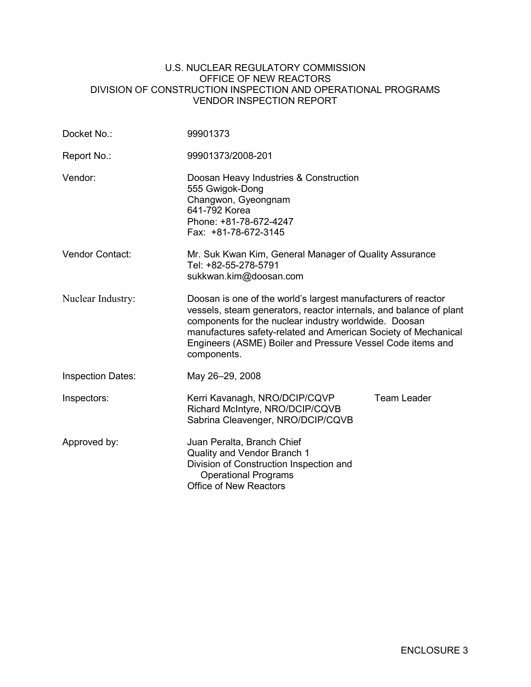#### U.S. NUCLEAR REGULATORY COMMISSION OFFICE OF NEW REACTORS DIVISION OF CONSTRUCTION INSPECTION AND OPERATIONAL PROGRAMS VENDOR INSPECTION REPORT

| Docket No.:              | 99901373                                                                                                                                                                                                                                                                                                                                    |                    |  |  |
|--------------------------|---------------------------------------------------------------------------------------------------------------------------------------------------------------------------------------------------------------------------------------------------------------------------------------------------------------------------------------------|--------------------|--|--|
| Report No.:              | 99901373/2008-201                                                                                                                                                                                                                                                                                                                           |                    |  |  |
| Vendor:                  | Doosan Heavy Industries & Construction<br>555 Gwigok-Dong<br>Changwon, Gyeongnam<br>641-792 Korea<br>Phone: +81-78-672-4247<br>Fax: +81-78-672-3145                                                                                                                                                                                         |                    |  |  |
| <b>Vendor Contact:</b>   | Mr. Suk Kwan Kim, General Manager of Quality Assurance<br>Tel: +82-55-278-5791<br>sukkwan.kim@doosan.com                                                                                                                                                                                                                                    |                    |  |  |
| Nuclear Industry:        | Doosan is one of the world's largest manufacturers of reactor<br>vessels, steam generators, reactor internals, and balance of plant<br>components for the nuclear industry worldwide. Doosan<br>manufactures safety-related and American Society of Mechanical<br>Engineers (ASME) Boiler and Pressure Vessel Code items and<br>components. |                    |  |  |
| <b>Inspection Dates:</b> | May 26-29, 2008                                                                                                                                                                                                                                                                                                                             |                    |  |  |
| Inspectors:              | Kerri Kavanagh, NRO/DCIP/CQVP<br>Richard McIntyre, NRO/DCIP/CQVB<br>Sabrina Cleavenger, NRO/DCIP/CQVB                                                                                                                                                                                                                                       | <b>Team Leader</b> |  |  |
| Approved by:             | Juan Peralta, Branch Chief<br>Quality and Vendor Branch 1<br>Division of Construction Inspection and<br><b>Operational Programs</b><br><b>Office of New Reactors</b>                                                                                                                                                                        |                    |  |  |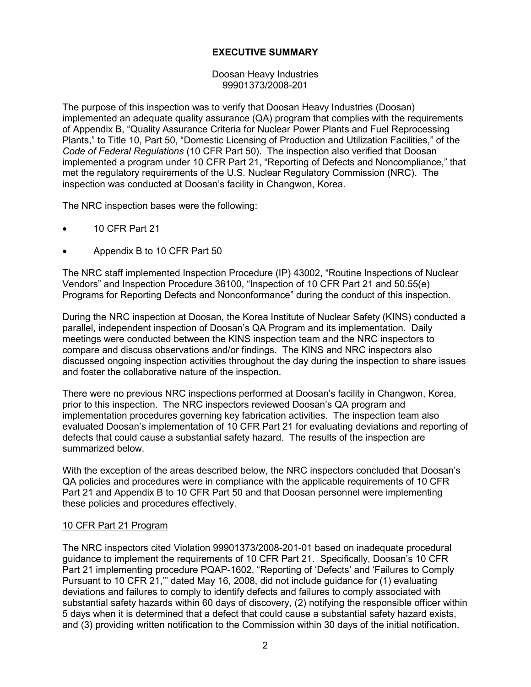### **EXECUTIVE SUMMARY**

Doosan Heavy Industries 99901373/2008-201

The purpose of this inspection was to verify that Doosan Heavy Industries (Doosan) implemented an adequate quality assurance (QA) program that complies with the requirements of Appendix B, "Quality Assurance Criteria for Nuclear Power Plants and Fuel Reprocessing Plants," to Title 10, Part 50, "Domestic Licensing of Production and Utilization Facilities," of the *Code of Federal Regulations* (10 CFR Part 50). The inspection also verified that Doosan implemented a program under 10 CFR Part 21, "Reporting of Defects and Noncompliance," that met the regulatory requirements of the U.S. Nuclear Regulatory Commission (NRC). The inspection was conducted at Doosan's facility in Changwon, Korea.

The NRC inspection bases were the following:

- 10 CFR Part 21
- Appendix B to 10 CFR Part 50

The NRC staff implemented Inspection Procedure (IP) 43002, "Routine Inspections of Nuclear Vendors" and Inspection Procedure 36100, "Inspection of 10 CFR Part 21 and 50.55(e) Programs for Reporting Defects and Nonconformance" during the conduct of this inspection.

During the NRC inspection at Doosan, the Korea Institute of Nuclear Safety (KINS) conducted a parallel, independent inspection of Doosan's QA Program and its implementation. Daily meetings were conducted between the KINS inspection team and the NRC inspectors to compare and discuss observations and/or findings. The KINS and NRC inspectors also discussed ongoing inspection activities throughout the day during the inspection to share issues and foster the collaborative nature of the inspection.

There were no previous NRC inspections performed at Doosan's facility in Changwon, Korea, prior to this inspection. The NRC inspectors reviewed Doosan's QA program and implementation procedures governing key fabrication activities. The inspection team also evaluated Doosan's implementation of 10 CFR Part 21 for evaluating deviations and reporting of defects that could cause a substantial safety hazard. The results of the inspection are summarized below.

With the exception of the areas described below, the NRC inspectors concluded that Doosan's QA policies and procedures were in compliance with the applicable requirements of 10 CFR Part 21 and Appendix B to 10 CFR Part 50 and that Doosan personnel were implementing these policies and procedures effectively.

### 10 CFR Part 21 Program

The NRC inspectors cited Violation 99901373/2008-201-01 based on inadequate procedural guidance to implement the requirements of 10 CFR Part 21. Specifically, Doosan's 10 CFR Part 21 implementing procedure PQAP-1602, "Reporting of 'Defects' and 'Failures to Comply Pursuant to 10 CFR 21,'" dated May 16, 2008, did not include guidance for (1) evaluating deviations and failures to comply to identify defects and failures to comply associated with substantial safety hazards within 60 days of discovery, (2) notifying the responsible officer within 5 days when it is determined that a defect that could cause a substantial safety hazard exists, and (3) providing written notification to the Commission within 30 days of the initial notification.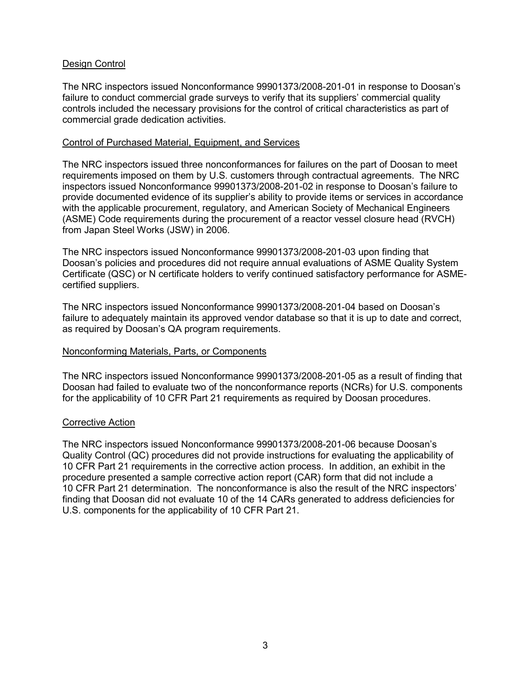### Design Control

The NRC inspectors issued Nonconformance 99901373/2008-201-01 in response to Doosan's failure to conduct commercial grade surveys to verify that its suppliers' commercial quality controls included the necessary provisions for the control of critical characteristics as part of commercial grade dedication activities.

### Control of Purchased Material, Equipment, and Services

The NRC inspectors issued three nonconformances for failures on the part of Doosan to meet requirements imposed on them by U.S. customers through contractual agreements. The NRC inspectors issued Nonconformance 99901373/2008-201-02 in response to Doosan's failure to provide documented evidence of its supplier's ability to provide items or services in accordance with the applicable procurement, regulatory, and American Society of Mechanical Engineers (ASME) Code requirements during the procurement of a reactor vessel closure head (RVCH) from Japan Steel Works (JSW) in 2006.

The NRC inspectors issued Nonconformance 99901373/2008-201-03 upon finding that Doosan's policies and procedures did not require annual evaluations of ASME Quality System Certificate (QSC) or N certificate holders to verify continued satisfactory performance for ASMEcertified suppliers.

The NRC inspectors issued Nonconformance 99901373/2008-201-04 based on Doosan's failure to adequately maintain its approved vendor database so that it is up to date and correct, as required by Doosan's QA program requirements.

### Nonconforming Materials, Parts, or Components

The NRC inspectors issued Nonconformance 99901373/2008-201-05 as a result of finding that Doosan had failed to evaluate two of the nonconformance reports (NCRs) for U.S. components for the applicability of 10 CFR Part 21 requirements as required by Doosan procedures.

#### Corrective Action

The NRC inspectors issued Nonconformance 99901373/2008-201-06 because Doosan's Quality Control (QC) procedures did not provide instructions for evaluating the applicability of 10 CFR Part 21 requirements in the corrective action process. In addition, an exhibit in the procedure presented a sample corrective action report (CAR) form that did not include a 10 CFR Part 21 determination. The nonconformance is also the result of the NRC inspectors' finding that Doosan did not evaluate 10 of the 14 CARs generated to address deficiencies for U.S. components for the applicability of 10 CFR Part 21.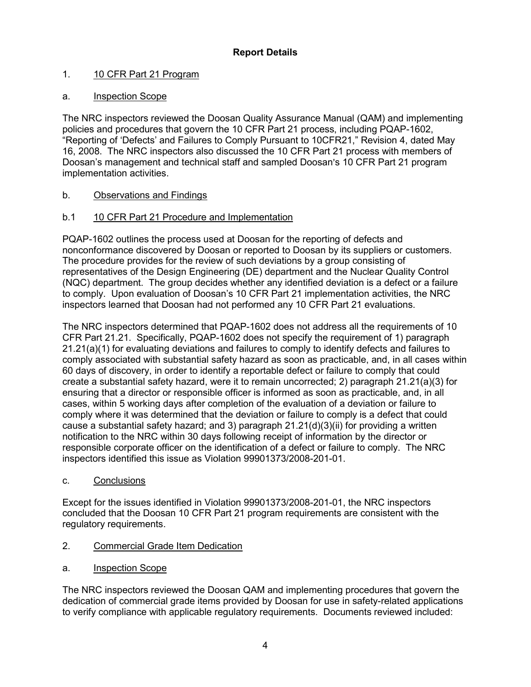## **Report Details**

## 1. 10 CFR Part 21 Program

## a. Inspection Scope

The NRC inspectors reviewed the Doosan Quality Assurance Manual (QAM) and implementing policies and procedures that govern the 10 CFR Part 21 process, including PQAP-1602, "Reporting of 'Defects' and Failures to Comply Pursuant to 10CFR21," Revision 4, dated May 16, 2008. The NRC inspectors also discussed the 10 CFR Part 21 process with members of Doosan's management and technical staff and sampled Doosan's 10 CFR Part 21 program implementation activities.

## b. Observations and Findings

## b.1 10 CFR Part 21 Procedure and Implementation

PQAP-1602 outlines the process used at Doosan for the reporting of defects and nonconformance discovered by Doosan or reported to Doosan by its suppliers or customers. The procedure provides for the review of such deviations by a group consisting of representatives of the Design Engineering (DE) department and the Nuclear Quality Control (NQC) department. The group decides whether any identified deviation is a defect or a failure to comply. Upon evaluation of Doosan's 10 CFR Part 21 implementation activities, the NRC inspectors learned that Doosan had not performed any 10 CFR Part 21 evaluations.

The NRC inspectors determined that PQAP-1602 does not address all the requirements of 10 CFR Part 21.21. Specifically, PQAP-1602 does not specify the requirement of 1) paragraph 21.21(a)(1) for evaluating deviations and failures to comply to identify defects and failures to comply associated with substantial safety hazard as soon as practicable, and, in all cases within 60 days of discovery, in order to identify a reportable defect or failure to comply that could create a substantial safety hazard, were it to remain uncorrected; 2) paragraph 21.21(a)(3) for ensuring that a director or responsible officer is informed as soon as practicable, and, in all cases, within 5 working days after completion of the evaluation of a deviation or failure to comply where it was determined that the deviation or failure to comply is a defect that could cause a substantial safety hazard; and 3) paragraph  $21.21(d)(3)(ii)$  for providing a written notification to the NRC within 30 days following receipt of information by the director or responsible corporate officer on the identification of a defect or failure to comply. The NRC inspectors identified this issue as Violation 99901373/2008-201-01.

c. Conclusions

Except for the issues identified in Violation 99901373/2008-201-01, the NRC inspectors concluded that the Doosan 10 CFR Part 21 program requirements are consistent with the regulatory requirements.

- 2. Commercial Grade Item Dedication
- a. Inspection Scope

The NRC inspectors reviewed the Doosan QAM and implementing procedures that govern the dedication of commercial grade items provided by Doosan for use in safety-related applications to verify compliance with applicable regulatory requirements. Documents reviewed included: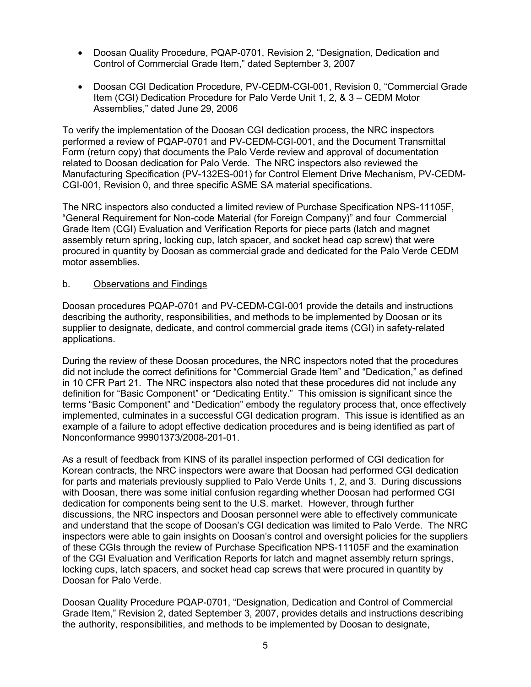- Doosan Quality Procedure, PQAP-0701, Revision 2, "Designation, Dedication and Control of Commercial Grade Item," dated September 3, 2007
- Doosan CGI Dedication Procedure, PV-CEDM-CGI-001, Revision 0, "Commercial Grade Item (CGI) Dedication Procedure for Palo Verde Unit 1, 2, & 3 – CEDM Motor Assemblies," dated June 29, 2006

To verify the implementation of the Doosan CGI dedication process, the NRC inspectors performed a review of PQAP-0701 and PV-CEDM-CGI-001, and the Document Transmittal Form (return copy) that documents the Palo Verde review and approval of documentation related to Doosan dedication for Palo Verde. The NRC inspectors also reviewed the Manufacturing Specification (PV-132ES-001) for Control Element Drive Mechanism, PV-CEDM-CGI-001, Revision 0, and three specific ASME SA material specifications.

The NRC inspectors also conducted a limited review of Purchase Specification NPS-11105F, "General Requirement for Non-code Material (for Foreign Company)" and four Commercial Grade Item (CGI) Evaluation and Verification Reports for piece parts (latch and magnet assembly return spring, locking cup, latch spacer, and socket head cap screw) that were procured in quantity by Doosan as commercial grade and dedicated for the Palo Verde CEDM motor assemblies.

#### b. Observations and Findings

Doosan procedures PQAP-0701 and PV-CEDM-CGI-001 provide the details and instructions describing the authority, responsibilities, and methods to be implemented by Doosan or its supplier to designate, dedicate, and control commercial grade items (CGI) in safety-related applications.

During the review of these Doosan procedures, the NRC inspectors noted that the procedures did not include the correct definitions for "Commercial Grade Item" and "Dedication," as defined in 10 CFR Part 21. The NRC inspectors also noted that these procedures did not include any definition for "Basic Component" or "Dedicating Entity." This omission is significant since the terms "Basic Component" and "Dedication" embody the regulatory process that, once effectively implemented, culminates in a successful CGI dedication program. This issue is identified as an example of a failure to adopt effective dedication procedures and is being identified as part of Nonconformance 99901373/2008-201-01.

As a result of feedback from KINS of its parallel inspection performed of CGI dedication for Korean contracts, the NRC inspectors were aware that Doosan had performed CGI dedication for parts and materials previously supplied to Palo Verde Units 1, 2, and 3. During discussions with Doosan, there was some initial confusion regarding whether Doosan had performed CGI dedication for components being sent to the U.S. market. However, through further discussions, the NRC inspectors and Doosan personnel were able to effectively communicate and understand that the scope of Doosan's CGI dedication was limited to Palo Verde. The NRC inspectors were able to gain insights on Doosan's control and oversight policies for the suppliers of these CGIs through the review of Purchase Specification NPS-11105F and the examination of the CGI Evaluation and Verification Reports for latch and magnet assembly return springs, locking cups, latch spacers, and socket head cap screws that were procured in quantity by Doosan for Palo Verde.

Doosan Quality Procedure PQAP-0701, "Designation, Dedication and Control of Commercial Grade Item," Revision 2, dated September 3, 2007, provides details and instructions describing the authority, responsibilities, and methods to be implemented by Doosan to designate,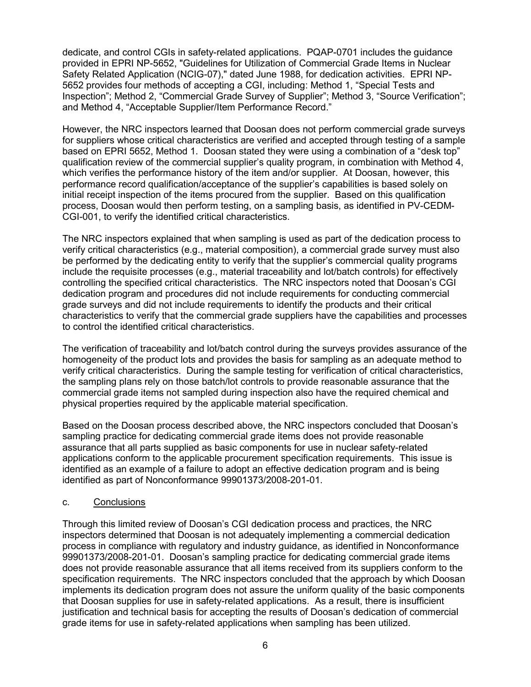dedicate, and control CGIs in safety-related applications. PQAP-0701 includes the guidance provided in EPRI NP-5652, "Guidelines for Utilization of Commercial Grade Items in Nuclear Safety Related Application (NCIG-07)," dated June 1988, for dedication activities. EPRI NP-5652 provides four methods of accepting a CGI, including: Method 1, "Special Tests and Inspection"; Method 2, "Commercial Grade Survey of Supplier"; Method 3, "Source Verification"; and Method 4, "Acceptable Supplier/Item Performance Record."

However, the NRC inspectors learned that Doosan does not perform commercial grade surveys for suppliers whose critical characteristics are verified and accepted through testing of a sample based on EPRI 5652, Method 1. Doosan stated they were using a combination of a "desk top" qualification review of the commercial supplier's quality program, in combination with Method 4, which verifies the performance history of the item and/or supplier. At Doosan, however, this performance record qualification/acceptance of the supplier's capabilities is based solely on initial receipt inspection of the items procured from the supplier. Based on this qualification process, Doosan would then perform testing, on a sampling basis, as identified in PV-CEDM-CGI-001, to verify the identified critical characteristics.

The NRC inspectors explained that when sampling is used as part of the dedication process to verify critical characteristics (e.g., material composition), a commercial grade survey must also be performed by the dedicating entity to verify that the supplier's commercial quality programs include the requisite processes (e.g., material traceability and lot/batch controls) for effectively controlling the specified critical characteristics. The NRC inspectors noted that Doosan's CGI dedication program and procedures did not include requirements for conducting commercial grade surveys and did not include requirements to identify the products and their critical characteristics to verify that the commercial grade suppliers have the capabilities and processes to control the identified critical characteristics.

The verification of traceability and lot/batch control during the surveys provides assurance of the homogeneity of the product lots and provides the basis for sampling as an adequate method to verify critical characteristics. During the sample testing for verification of critical characteristics, the sampling plans rely on those batch/lot controls to provide reasonable assurance that the commercial grade items not sampled during inspection also have the required chemical and physical properties required by the applicable material specification.

Based on the Doosan process described above, the NRC inspectors concluded that Doosan's sampling practice for dedicating commercial grade items does not provide reasonable assurance that all parts supplied as basic components for use in nuclear safety-related applications conform to the applicable procurement specification requirements. This issue is identified as an example of a failure to adopt an effective dedication program and is being identified as part of Nonconformance 99901373/2008-201-01.

### c. Conclusions

Through this limited review of Doosan's CGI dedication process and practices, the NRC inspectors determined that Doosan is not adequately implementing a commercial dedication process in compliance with regulatory and industry guidance, as identified in Nonconformance 99901373/2008-201-01. Doosan's sampling practice for dedicating commercial grade items does not provide reasonable assurance that all items received from its suppliers conform to the specification requirements. The NRC inspectors concluded that the approach by which Doosan implements its dedication program does not assure the uniform quality of the basic components that Doosan supplies for use in safety-related applications. As a result, there is insufficient justification and technical basis for accepting the results of Doosan's dedication of commercial grade items for use in safety-related applications when sampling has been utilized.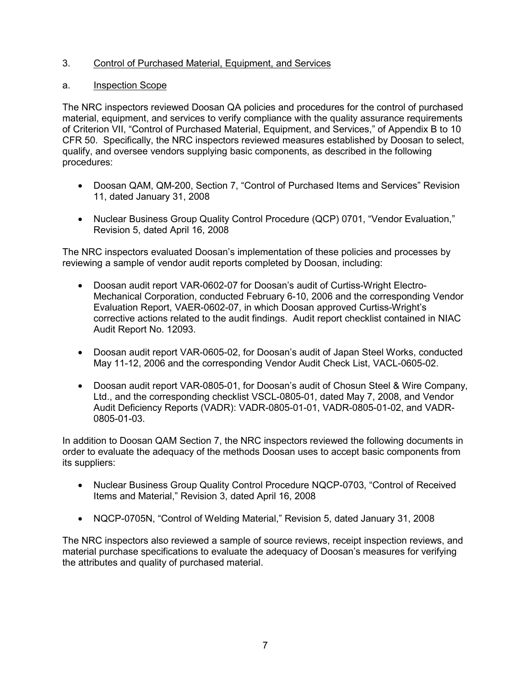## 3. Control of Purchased Material, Equipment, and Services

### a. Inspection Scope

The NRC inspectors reviewed Doosan QA policies and procedures for the control of purchased material, equipment, and services to verify compliance with the quality assurance requirements of Criterion VII, "Control of Purchased Material, Equipment, and Services," of Appendix B to 10 CFR 50. Specifically, the NRC inspectors reviewed measures established by Doosan to select, qualify, and oversee vendors supplying basic components, as described in the following procedures:

- Doosan QAM, QM-200, Section 7, "Control of Purchased Items and Services" Revision 11, dated January 31, 2008
- Nuclear Business Group Quality Control Procedure (QCP) 0701, "Vendor Evaluation," Revision 5, dated April 16, 2008

The NRC inspectors evaluated Doosan's implementation of these policies and processes by reviewing a sample of vendor audit reports completed by Doosan, including:

- Doosan audit report VAR-0602-07 for Doosan's audit of Curtiss-Wright Electro-Mechanical Corporation, conducted February 6-10, 2006 and the corresponding Vendor Evaluation Report, VAER-0602-07, in which Doosan approved Curtiss-Wright's corrective actions related to the audit findings. Audit report checklist contained in NIAC Audit Report No. 12093.
- Doosan audit report VAR-0605-02, for Doosan's audit of Japan Steel Works, conducted May 11-12, 2006 and the corresponding Vendor Audit Check List, VACL-0605-02.
- Doosan audit report VAR-0805-01, for Doosan's audit of Chosun Steel & Wire Company, Ltd., and the corresponding checklist VSCL-0805-01, dated May 7, 2008, and Vendor Audit Deficiency Reports (VADR): VADR-0805-01-01, VADR-0805-01-02, and VADR-0805-01-03.

In addition to Doosan QAM Section 7, the NRC inspectors reviewed the following documents in order to evaluate the adequacy of the methods Doosan uses to accept basic components from its suppliers:

- Nuclear Business Group Quality Control Procedure NQCP-0703, "Control of Received Items and Material," Revision 3, dated April 16, 2008
- NQCP-0705N, "Control of Welding Material," Revision 5, dated January 31, 2008

The NRC inspectors also reviewed a sample of source reviews, receipt inspection reviews, and material purchase specifications to evaluate the adequacy of Doosan's measures for verifying the attributes and quality of purchased material.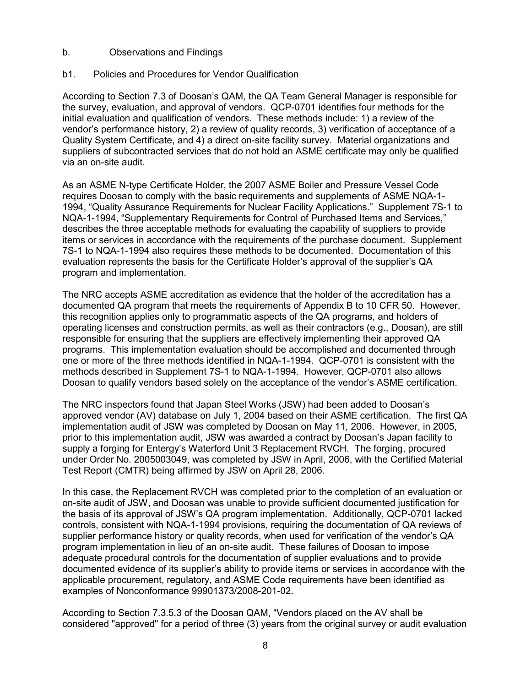### b. Observations and Findings

## b1. Policies and Procedures for Vendor Qualification

According to Section 7.3 of Doosan's QAM, the QA Team General Manager is responsible for the survey, evaluation, and approval of vendors. QCP-0701 identifies four methods for the initial evaluation and qualification of vendors. These methods include: 1) a review of the vendor's performance history, 2) a review of quality records, 3) verification of acceptance of a Quality System Certificate, and 4) a direct on-site facility survey. Material organizations and suppliers of subcontracted services that do not hold an ASME certificate may only be qualified via an on-site audit.

As an ASME N-type Certificate Holder, the 2007 ASME Boiler and Pressure Vessel Code requires Doosan to comply with the basic requirements and supplements of ASME NQA-1- 1994, "Quality Assurance Requirements for Nuclear Facility Applications." Supplement 7S-1 to NQA-1-1994, "Supplementary Requirements for Control of Purchased Items and Services," describes the three acceptable methods for evaluating the capability of suppliers to provide items or services in accordance with the requirements of the purchase document. Supplement 7S-1 to NQA-1-1994 also requires these methods to be documented. Documentation of this evaluation represents the basis for the Certificate Holder's approval of the supplier's QA program and implementation.

The NRC accepts ASME accreditation as evidence that the holder of the accreditation has a documented QA program that meets the requirements of Appendix B to 10 CFR 50. However, this recognition applies only to programmatic aspects of the QA programs, and holders of operating licenses and construction permits, as well as their contractors (e.g., Doosan), are still responsible for ensuring that the suppliers are effectively implementing their approved QA programs. This implementation evaluation should be accomplished and documented through one or more of the three methods identified in NQA-1-1994. QCP-0701 is consistent with the methods described in Supplement 7S-1 to NQA-1-1994. However, QCP-0701 also allows Doosan to qualify vendors based solely on the acceptance of the vendor's ASME certification.

The NRC inspectors found that Japan Steel Works (JSW) had been added to Doosan's approved vendor (AV) database on July 1, 2004 based on their ASME certification. The first QA implementation audit of JSW was completed by Doosan on May 11, 2006. However, in 2005, prior to this implementation audit, JSW was awarded a contract by Doosan's Japan facility to supply a forging for Entergy's Waterford Unit 3 Replacement RVCH. The forging, procured under Order No. 2005003049, was completed by JSW in April, 2006, with the Certified Material Test Report (CMTR) being affirmed by JSW on April 28, 2006.

In this case, the Replacement RVCH was completed prior to the completion of an evaluation or on-site audit of JSW, and Doosan was unable to provide sufficient documented justification for the basis of its approval of JSW's QA program implementation. Additionally, QCP-0701 lacked controls, consistent with NQA-1-1994 provisions, requiring the documentation of QA reviews of supplier performance history or quality records, when used for verification of the vendor's QA program implementation in lieu of an on-site audit. These failures of Doosan to impose adequate procedural controls for the documentation of supplier evaluations and to provide documented evidence of its supplier's ability to provide items or services in accordance with the applicable procurement, regulatory, and ASME Code requirements have been identified as examples of Nonconformance 99901373/2008-201-02.

According to Section 7.3.5.3 of the Doosan QAM, "Vendors placed on the AV shall be considered "approved" for a period of three (3) years from the original survey or audit evaluation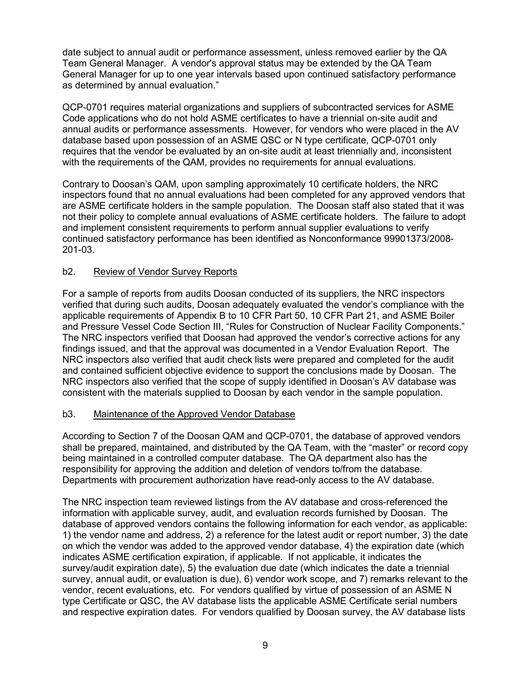date subject to annual audit or performance assessment, unless removed earlier by the QA Team General Manager. A vendor's approval status may be extended by the QA Team General Manager for up to one year intervals based upon continued satisfactory performance as determined by annual evaluation."

QCP-0701 requires material organizations and suppliers of subcontracted services for ASME Code applications who do not hold ASME certificates to have a triennial on-site audit and annual audits or performance assessments. However, for vendors who were placed in the AV database based upon possession of an ASME QSC or N type certificate, QCP-0701 only requires that the vendor be evaluated by an on-site audit at least triennially and, inconsistent with the requirements of the QAM, provides no requirements for annual evaluations.

Contrary to Doosan's QAM, upon sampling approximately 10 certificate holders, the NRC inspectors found that no annual evaluations had been completed for any approved vendors that are ASME certificate holders in the sample population. The Doosan staff also stated that it was not their policy to complete annual evaluations of ASME certificate holders. The failure to adopt and implement consistent requirements to perform annual supplier evaluations to verify continued satisfactory performance has been identified as Nonconformance 99901373/2008- 201-03.

### b2. Review of Vendor Survey Reports

For a sample of reports from audits Doosan conducted of its suppliers, the NRC inspectors verified that during such audits, Doosan adequately evaluated the vendor's compliance with the applicable requirements of Appendix B to 10 CFR Part 50, 10 CFR Part 21, and ASME Boiler and Pressure Vessel Code Section III, "Rules for Construction of Nuclear Facility Components." The NRC inspectors verified that Doosan had approved the vendor's corrective actions for any findings issued, and that the approval was documented in a Vendor Evaluation Report. The NRC inspectors also verified that audit check lists were prepared and completed for the audit and contained sufficient objective evidence to support the conclusions made by Doosan. The NRC inspectors also verified that the scope of supply identified in Doosan's AV database was consistent with the materials supplied to Doosan by each vendor in the sample population.

### b3. Maintenance of the Approved Vendor Database

According to Section 7 of the Doosan QAM and QCP-0701, the database of approved vendors shall be prepared, maintained, and distributed by the QA Team, with the "master" or record copy being maintained in a controlled computer database. The QA department also has the responsibility for approving the addition and deletion of vendors to/from the database. Departments with procurement authorization have read-only access to the AV database.

The NRC inspection team reviewed listings from the AV database and cross-referenced the information with applicable survey, audit, and evaluation records furnished by Doosan. The database of approved vendors contains the following information for each vendor, as applicable: 1) the vendor name and address, 2) a reference for the latest audit or report number, 3) the date on which the vendor was added to the approved vendor database, 4) the expiration date (which indicates ASME certification expiration, if applicable. If not applicable, it indicates the survey/audit expiration date), 5) the evaluation due date (which indicates the date a triennial survey, annual audit, or evaluation is due), 6) vendor work scope, and 7) remarks relevant to the vendor, recent evaluations, etc. For vendors qualified by virtue of possession of an ASME N type Certificate or QSC, the AV database lists the applicable ASME Certificate serial numbers and respective expiration dates. For vendors qualified by Doosan survey, the AV database lists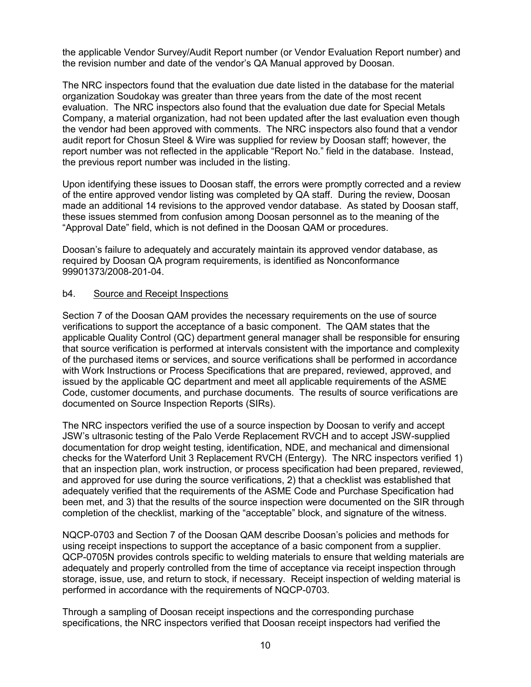the applicable Vendor Survey/Audit Report number (or Vendor Evaluation Report number) and the revision number and date of the vendor's QA Manual approved by Doosan.

The NRC inspectors found that the evaluation due date listed in the database for the material organization Soudokay was greater than three years from the date of the most recent evaluation. The NRC inspectors also found that the evaluation due date for Special Metals Company, a material organization, had not been updated after the last evaluation even though the vendor had been approved with comments. The NRC inspectors also found that a vendor audit report for Chosun Steel & Wire was supplied for review by Doosan staff; however, the report number was not reflected in the applicable "Report No." field in the database. Instead, the previous report number was included in the listing.

Upon identifying these issues to Doosan staff, the errors were promptly corrected and a review of the entire approved vendor listing was completed by QA staff. During the review, Doosan made an additional 14 revisions to the approved vendor database. As stated by Doosan staff, these issues stemmed from confusion among Doosan personnel as to the meaning of the "Approval Date" field, which is not defined in the Doosan QAM or procedures.

Doosan's failure to adequately and accurately maintain its approved vendor database, as required by Doosan QA program requirements, is identified as Nonconformance 99901373/2008-201-04.

#### b4. Source and Receipt Inspections

Section 7 of the Doosan QAM provides the necessary requirements on the use of source verifications to support the acceptance of a basic component. The QAM states that the applicable Quality Control (QC) department general manager shall be responsible for ensuring that source verification is performed at intervals consistent with the importance and complexity of the purchased items or services, and source verifications shall be performed in accordance with Work Instructions or Process Specifications that are prepared, reviewed, approved, and issued by the applicable QC department and meet all applicable requirements of the ASME Code, customer documents, and purchase documents. The results of source verifications are documented on Source Inspection Reports (SIRs).

The NRC inspectors verified the use of a source inspection by Doosan to verify and accept JSW's ultrasonic testing of the Palo Verde Replacement RVCH and to accept JSW-supplied documentation for drop weight testing, identification, NDE, and mechanical and dimensional checks for the Waterford Unit 3 Replacement RVCH (Entergy). The NRC inspectors verified 1) that an inspection plan, work instruction, or process specification had been prepared, reviewed, and approved for use during the source verifications, 2) that a checklist was established that adequately verified that the requirements of the ASME Code and Purchase Specification had been met, and 3) that the results of the source inspection were documented on the SIR through completion of the checklist, marking of the "acceptable" block, and signature of the witness.

NQCP-0703 and Section 7 of the Doosan QAM describe Doosan's policies and methods for using receipt inspections to support the acceptance of a basic component from a supplier. QCP-0705N provides controls specific to welding materials to ensure that welding materials are adequately and properly controlled from the time of acceptance via receipt inspection through storage, issue, use, and return to stock, if necessary. Receipt inspection of welding material is performed in accordance with the requirements of NQCP-0703.

Through a sampling of Doosan receipt inspections and the corresponding purchase specifications, the NRC inspectors verified that Doosan receipt inspectors had verified the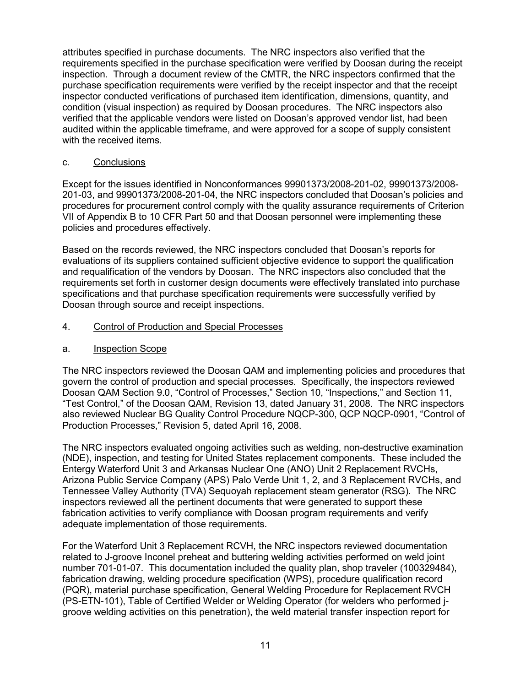attributes specified in purchase documents. The NRC inspectors also verified that the requirements specified in the purchase specification were verified by Doosan during the receipt inspection. Through a document review of the CMTR, the NRC inspectors confirmed that the purchase specification requirements were verified by the receipt inspector and that the receipt inspector conducted verifications of purchased item identification, dimensions, quantity, and condition (visual inspection) as required by Doosan procedures. The NRC inspectors also verified that the applicable vendors were listed on Doosan's approved vendor list, had been audited within the applicable timeframe, and were approved for a scope of supply consistent with the received items.

### c. Conclusions

Except for the issues identified in Nonconformances 99901373/2008-201-02, 99901373/2008- 201-03, and 99901373/2008-201-04, the NRC inspectors concluded that Doosan's policies and procedures for procurement control comply with the quality assurance requirements of Criterion VII of Appendix B to 10 CFR Part 50 and that Doosan personnel were implementing these policies and procedures effectively.

Based on the records reviewed, the NRC inspectors concluded that Doosan's reports for evaluations of its suppliers contained sufficient objective evidence to support the qualification and requalification of the vendors by Doosan. The NRC inspectors also concluded that the requirements set forth in customer design documents were effectively translated into purchase specifications and that purchase specification requirements were successfully verified by Doosan through source and receipt inspections.

### 4. Control of Production and Special Processes

a. Inspection Scope

The NRC inspectors reviewed the Doosan QAM and implementing policies and procedures that govern the control of production and special processes. Specifically, the inspectors reviewed Doosan QAM Section 9.0, "Control of Processes," Section 10, "Inspections," and Section 11, "Test Control," of the Doosan QAM, Revision 13, dated January 31, 2008. The NRC inspectors also reviewed Nuclear BG Quality Control Procedure NQCP-300, QCP NQCP-0901, "Control of Production Processes," Revision 5, dated April 16, 2008.

The NRC inspectors evaluated ongoing activities such as welding, non-destructive examination (NDE), inspection, and testing for United States replacement components. These included the Entergy Waterford Unit 3 and Arkansas Nuclear One (ANO) Unit 2 Replacement RVCHs, Arizona Public Service Company (APS) Palo Verde Unit 1, 2, and 3 Replacement RVCHs, and Tennessee Valley Authority (TVA) Sequoyah replacement steam generator (RSG). The NRC inspectors reviewed all the pertinent documents that were generated to support these fabrication activities to verify compliance with Doosan program requirements and verify adequate implementation of those requirements.

For the Waterford Unit 3 Replacement RCVH, the NRC inspectors reviewed documentation related to J-groove Inconel preheat and buttering welding activities performed on weld joint number 701-01-07. This documentation included the quality plan, shop traveler (100329484), fabrication drawing, welding procedure specification (WPS), procedure qualification record (PQR), material purchase specification, General Welding Procedure for Replacement RVCH (PS-ETN-101), Table of Certified Welder or Welding Operator (for welders who performed jgroove welding activities on this penetration), the weld material transfer inspection report for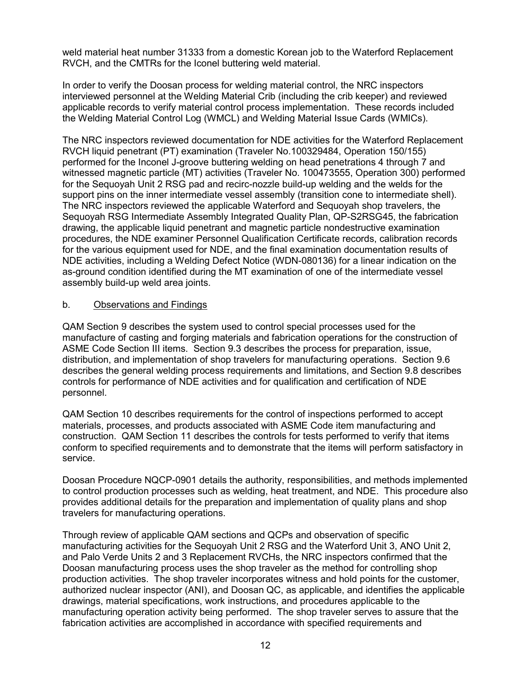weld material heat number 31333 from a domestic Korean job to the Waterford Replacement RVCH, and the CMTRs for the Iconel buttering weld material.

In order to verify the Doosan process for welding material control, the NRC inspectors interviewed personnel at the Welding Material Crib (including the crib keeper) and reviewed applicable records to verify material control process implementation. These records included the Welding Material Control Log (WMCL) and Welding Material Issue Cards (WMICs).

The NRC inspectors reviewed documentation for NDE activities for the Waterford Replacement RVCH liquid penetrant (PT) examination (Traveler No.100329484, Operation 150/155) performed for the Inconel J-groove buttering welding on head penetrations 4 through 7 and witnessed magnetic particle (MT) activities (Traveler No. 100473555, Operation 300) performed for the Sequoyah Unit 2 RSG pad and recirc-nozzle build-up welding and the welds for the support pins on the inner intermediate vessel assembly (transition cone to intermediate shell). The NRC inspectors reviewed the applicable Waterford and Sequoyah shop travelers, the Sequoyah RSG Intermediate Assembly Integrated Quality Plan, QP-S2RSG45, the fabrication drawing, the applicable liquid penetrant and magnetic particle nondestructive examination procedures, the NDE examiner Personnel Qualification Certificate records, calibration records for the various equipment used for NDE, and the final examination documentation results of NDE activities, including a Welding Defect Notice (WDN-080136) for a linear indication on the as-ground condition identified during the MT examination of one of the intermediate vessel assembly build-up weld area joints.

### b. Observations and Findings

QAM Section 9 describes the system used to control special processes used for the manufacture of casting and forging materials and fabrication operations for the construction of ASME Code Section III items. Section 9.3 describes the process for preparation, issue, distribution, and implementation of shop travelers for manufacturing operations. Section 9.6 describes the general welding process requirements and limitations, and Section 9.8 describes controls for performance of NDE activities and for qualification and certification of NDE personnel.

QAM Section 10 describes requirements for the control of inspections performed to accept materials, processes, and products associated with ASME Code item manufacturing and construction. QAM Section 11 describes the controls for tests performed to verify that items conform to specified requirements and to demonstrate that the items will perform satisfactory in service.

Doosan Procedure NQCP-0901 details the authority, responsibilities, and methods implemented to control production processes such as welding, heat treatment, and NDE. This procedure also provides additional details for the preparation and implementation of quality plans and shop travelers for manufacturing operations.

Through review of applicable QAM sections and QCPs and observation of specific manufacturing activities for the Sequoyah Unit 2 RSG and the Waterford Unit 3, ANO Unit 2, and Palo Verde Units 2 and 3 Replacement RVCHs, the NRC inspectors confirmed that the Doosan manufacturing process uses the shop traveler as the method for controlling shop production activities. The shop traveler incorporates witness and hold points for the customer, authorized nuclear inspector (ANI), and Doosan QC, as applicable, and identifies the applicable drawings, material specifications, work instructions, and procedures applicable to the manufacturing operation activity being performed. The shop traveler serves to assure that the fabrication activities are accomplished in accordance with specified requirements and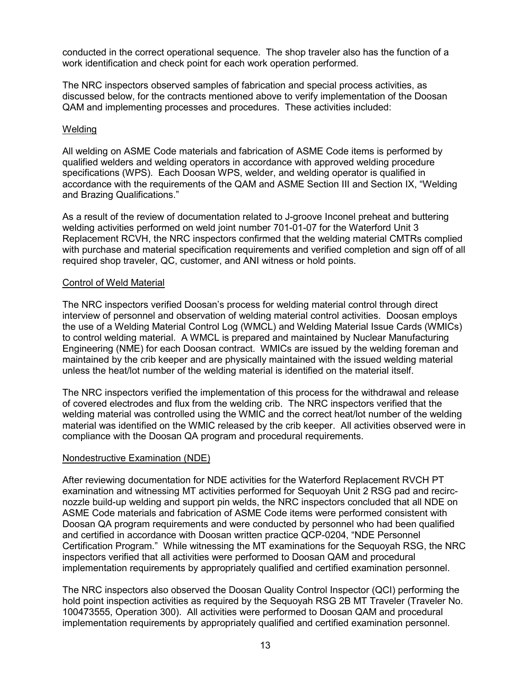conducted in the correct operational sequence. The shop traveler also has the function of a work identification and check point for each work operation performed.

The NRC inspectors observed samples of fabrication and special process activities, as discussed below, for the contracts mentioned above to verify implementation of the Doosan QAM and implementing processes and procedures. These activities included:

#### Welding

All welding on ASME Code materials and fabrication of ASME Code items is performed by qualified welders and welding operators in accordance with approved welding procedure specifications (WPS). Each Doosan WPS, welder, and welding operator is qualified in accordance with the requirements of the QAM and ASME Section III and Section IX, "Welding and Brazing Qualifications."

As a result of the review of documentation related to J-groove Inconel preheat and buttering welding activities performed on weld joint number 701-01-07 for the Waterford Unit 3 Replacement RCVH, the NRC inspectors confirmed that the welding material CMTRs complied with purchase and material specification requirements and verified completion and sign off of all required shop traveler, QC, customer, and ANI witness or hold points.

#### Control of Weld Material

The NRC inspectors verified Doosan's process for welding material control through direct interview of personnel and observation of welding material control activities. Doosan employs the use of a Welding Material Control Log (WMCL) and Welding Material Issue Cards (WMICs) to control welding material. A WMCL is prepared and maintained by Nuclear Manufacturing Engineering (NME) for each Doosan contract. WMICs are issued by the welding foreman and maintained by the crib keeper and are physically maintained with the issued welding material unless the heat/lot number of the welding material is identified on the material itself.

The NRC inspectors verified the implementation of this process for the withdrawal and release of covered electrodes and flux from the welding crib. The NRC inspectors verified that the welding material was controlled using the WMIC and the correct heat/lot number of the welding material was identified on the WMIC released by the crib keeper. All activities observed were in compliance with the Doosan QA program and procedural requirements.

#### Nondestructive Examination (NDE)

After reviewing documentation for NDE activities for the Waterford Replacement RVCH PT examination and witnessing MT activities performed for Sequoyah Unit 2 RSG pad and recircnozzle build-up welding and support pin welds, the NRC inspectors concluded that all NDE on ASME Code materials and fabrication of ASME Code items were performed consistent with Doosan QA program requirements and were conducted by personnel who had been qualified and certified in accordance with Doosan written practice QCP-0204, "NDE Personnel Certification Program." While witnessing the MT examinations for the Sequoyah RSG, the NRC inspectors verified that all activities were performed to Doosan QAM and procedural implementation requirements by appropriately qualified and certified examination personnel.

The NRC inspectors also observed the Doosan Quality Control Inspector (QCI) performing the hold point inspection activities as required by the Sequoyah RSG 2B MT Traveler (Traveler No. 100473555, Operation 300). All activities were performed to Doosan QAM and procedural implementation requirements by appropriately qualified and certified examination personnel.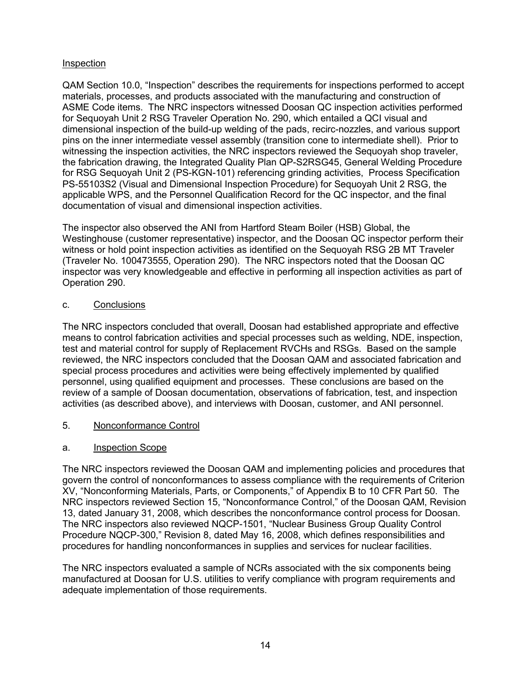### Inspection

QAM Section 10.0, "Inspection" describes the requirements for inspections performed to accept materials, processes, and products associated with the manufacturing and construction of ASME Code items. The NRC inspectors witnessed Doosan QC inspection activities performed for Sequoyah Unit 2 RSG Traveler Operation No. 290, which entailed a QCI visual and dimensional inspection of the build-up welding of the pads, recirc-nozzles, and various support pins on the inner intermediate vessel assembly (transition cone to intermediate shell). Prior to witnessing the inspection activities, the NRC inspectors reviewed the Sequoyah shop traveler, the fabrication drawing, the Integrated Quality Plan QP-S2RSG45, General Welding Procedure for RSG Sequoyah Unit 2 (PS-KGN-101) referencing grinding activities, Process Specification PS-55103S2 (Visual and Dimensional Inspection Procedure) for Sequoyah Unit 2 RSG, the applicable WPS, and the Personnel Qualification Record for the QC inspector, and the final documentation of visual and dimensional inspection activities.

The inspector also observed the ANI from Hartford Steam Boiler (HSB) Global, the Westinghouse (customer representative) inspector, and the Doosan QC inspector perform their witness or hold point inspection activities as identified on the Sequoyah RSG 2B MT Traveler (Traveler No. 100473555, Operation 290). The NRC inspectors noted that the Doosan QC inspector was very knowledgeable and effective in performing all inspection activities as part of Operation 290.

## c. Conclusions

The NRC inspectors concluded that overall, Doosan had established appropriate and effective means to control fabrication activities and special processes such as welding, NDE, inspection, test and material control for supply of Replacement RVCHs and RSGs. Based on the sample reviewed, the NRC inspectors concluded that the Doosan QAM and associated fabrication and special process procedures and activities were being effectively implemented by qualified personnel, using qualified equipment and processes. These conclusions are based on the review of a sample of Doosan documentation, observations of fabrication, test, and inspection activities (as described above), and interviews with Doosan, customer, and ANI personnel.

## 5. Nonconformance Control

## a. Inspection Scope

The NRC inspectors reviewed the Doosan QAM and implementing policies and procedures that govern the control of nonconformances to assess compliance with the requirements of Criterion XV, "Nonconforming Materials, Parts, or Components," of Appendix B to 10 CFR Part 50. The NRC inspectors reviewed Section 15, "Nonconformance Control," of the Doosan QAM, Revision 13, dated January 31, 2008, which describes the nonconformance control process for Doosan. The NRC inspectors also reviewed NQCP-1501, "Nuclear Business Group Quality Control Procedure NQCP-300," Revision 8, dated May 16, 2008, which defines responsibilities and procedures for handling nonconformances in supplies and services for nuclear facilities.

The NRC inspectors evaluated a sample of NCRs associated with the six components being manufactured at Doosan for U.S. utilities to verify compliance with program requirements and adequate implementation of those requirements.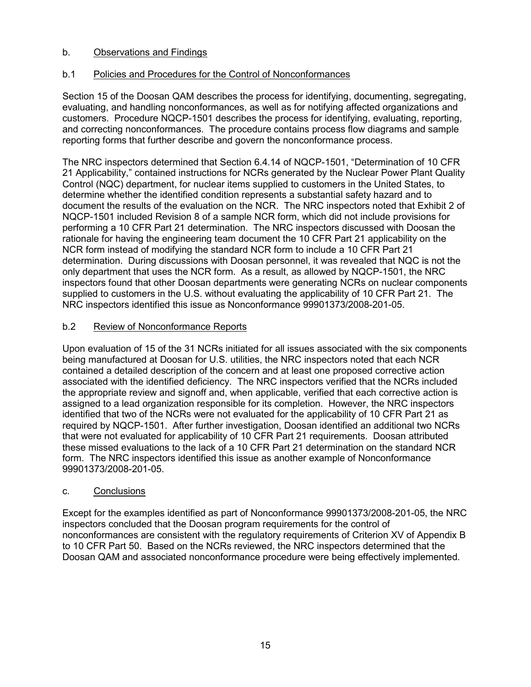## b. Observations and Findings

## b.1 Policies and Procedures for the Control of Nonconformances

Section 15 of the Doosan QAM describes the process for identifying, documenting, segregating, evaluating, and handling nonconformances, as well as for notifying affected organizations and customers. Procedure NQCP-1501 describes the process for identifying, evaluating, reporting, and correcting nonconformances. The procedure contains process flow diagrams and sample reporting forms that further describe and govern the nonconformance process.

The NRC inspectors determined that Section 6.4.14 of NQCP-1501, "Determination of 10 CFR 21 Applicability," contained instructions for NCRs generated by the Nuclear Power Plant Quality Control (NQC) department, for nuclear items supplied to customers in the United States, to determine whether the identified condition represents a substantial safety hazard and to document the results of the evaluation on the NCR. The NRC inspectors noted that Exhibit 2 of NQCP-1501 included Revision 8 of a sample NCR form, which did not include provisions for performing a 10 CFR Part 21 determination. The NRC inspectors discussed with Doosan the rationale for having the engineering team document the 10 CFR Part 21 applicability on the NCR form instead of modifying the standard NCR form to include a 10 CFR Part 21 determination. During discussions with Doosan personnel, it was revealed that NQC is not the only department that uses the NCR form. As a result, as allowed by NQCP-1501, the NRC inspectors found that other Doosan departments were generating NCRs on nuclear components supplied to customers in the U.S. without evaluating the applicability of 10 CFR Part 21. The NRC inspectors identified this issue as Nonconformance 99901373/2008-201-05.

## b.2 Review of Nonconformance Reports

Upon evaluation of 15 of the 31 NCRs initiated for all issues associated with the six components being manufactured at Doosan for U.S. utilities, the NRC inspectors noted that each NCR contained a detailed description of the concern and at least one proposed corrective action associated with the identified deficiency. The NRC inspectors verified that the NCRs included the appropriate review and signoff and, when applicable, verified that each corrective action is assigned to a lead organization responsible for its completion. However, the NRC inspectors identified that two of the NCRs were not evaluated for the applicability of 10 CFR Part 21 as required by NQCP-1501. After further investigation, Doosan identified an additional two NCRs that were not evaluated for applicability of 10 CFR Part 21 requirements. Doosan attributed these missed evaluations to the lack of a 10 CFR Part 21 determination on the standard NCR form. The NRC inspectors identified this issue as another example of Nonconformance 99901373/2008-201-05.

## c. Conclusions

Except for the examples identified as part of Nonconformance 99901373/2008-201-05, the NRC inspectors concluded that the Doosan program requirements for the control of nonconformances are consistent with the regulatory requirements of Criterion XV of Appendix B to 10 CFR Part 50. Based on the NCRs reviewed, the NRC inspectors determined that the Doosan QAM and associated nonconformance procedure were being effectively implemented.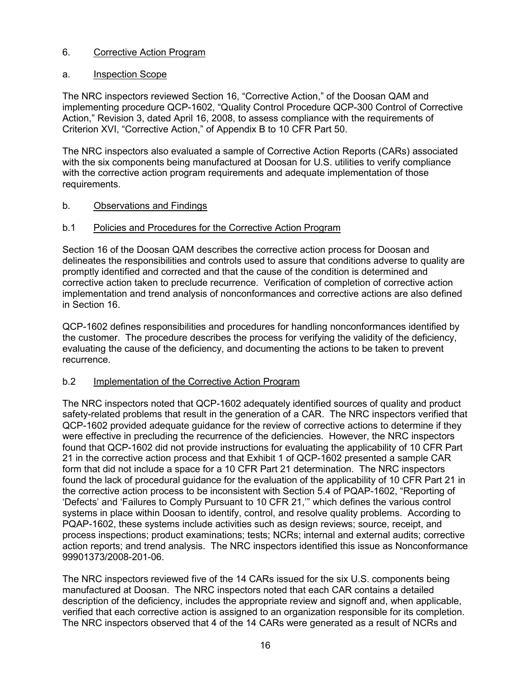## 6. Corrective Action Program

## a. Inspection Scope

The NRC inspectors reviewed Section 16, "Corrective Action," of the Doosan QAM and implementing procedure QCP-1602, "Quality Control Procedure QCP-300 Control of Corrective Action," Revision 3, dated April 16, 2008, to assess compliance with the requirements of Criterion XVI, "Corrective Action," of Appendix B to 10 CFR Part 50.

The NRC inspectors also evaluated a sample of Corrective Action Reports (CARs) associated with the six components being manufactured at Doosan for U.S. utilities to verify compliance with the corrective action program requirements and adequate implementation of those requirements.

## b. Observations and Findings

## b.1 Policies and Procedures for the Corrective Action Program

Section 16 of the Doosan QAM describes the corrective action process for Doosan and delineates the responsibilities and controls used to assure that conditions adverse to quality are promptly identified and corrected and that the cause of the condition is determined and corrective action taken to preclude recurrence. Verification of completion of corrective action implementation and trend analysis of nonconformances and corrective actions are also defined in Section 16.

QCP-1602 defines responsibilities and procedures for handling nonconformances identified by the customer. The procedure describes the process for verifying the validity of the deficiency, evaluating the cause of the deficiency, and documenting the actions to be taken to prevent recurrence.

## b.2 Implementation of the Corrective Action Program

The NRC inspectors noted that QCP-1602 adequately identified sources of quality and product safety-related problems that result in the generation of a CAR. The NRC inspectors verified that QCP-1602 provided adequate guidance for the review of corrective actions to determine if they were effective in precluding the recurrence of the deficiencies. However, the NRC inspectors found that QCP-1602 did not provide instructions for evaluating the applicability of 10 CFR Part 21 in the corrective action process and that Exhibit 1 of QCP-1602 presented a sample CAR form that did not include a space for a 10 CFR Part 21 determination. The NRC inspectors found the lack of procedural guidance for the evaluation of the applicability of 10 CFR Part 21 in the corrective action process to be inconsistent with Section 5.4 of PQAP-1602, "Reporting of 'Defects' and 'Failures to Comply Pursuant to 10 CFR 21,'" which defines the various control systems in place within Doosan to identify, control, and resolve quality problems. According to PQAP-1602, these systems include activities such as design reviews; source, receipt, and process inspections; product examinations; tests; NCRs; internal and external audits; corrective action reports; and trend analysis. The NRC inspectors identified this issue as Nonconformance 99901373/2008-201-06.

The NRC inspectors reviewed five of the 14 CARs issued for the six U.S. components being manufactured at Doosan. The NRC inspectors noted that each CAR contains a detailed description of the deficiency, includes the appropriate review and signoff and, when applicable, verified that each corrective action is assigned to an organization responsible for its completion. The NRC inspectors observed that 4 of the 14 CARs were generated as a result of NCRs and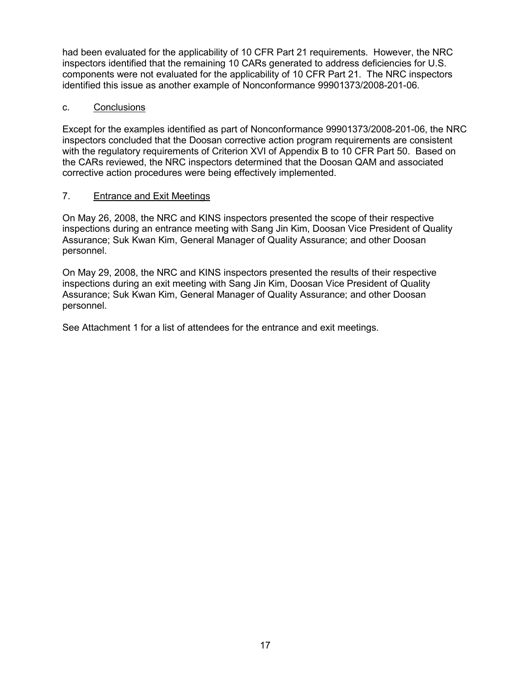had been evaluated for the applicability of 10 CFR Part 21 requirements. However, the NRC inspectors identified that the remaining 10 CARs generated to address deficiencies for U.S. components were not evaluated for the applicability of 10 CFR Part 21. The NRC inspectors identified this issue as another example of Nonconformance 99901373/2008-201-06.

### c. Conclusions

Except for the examples identified as part of Nonconformance 99901373/2008-201-06, the NRC inspectors concluded that the Doosan corrective action program requirements are consistent with the regulatory requirements of Criterion XVI of Appendix B to 10 CFR Part 50. Based on the CARs reviewed, the NRC inspectors determined that the Doosan QAM and associated corrective action procedures were being effectively implemented.

### 7. Entrance and Exit Meetings

On May 26, 2008, the NRC and KINS inspectors presented the scope of their respective inspections during an entrance meeting with Sang Jin Kim, Doosan Vice President of Quality Assurance; Suk Kwan Kim, General Manager of Quality Assurance; and other Doosan personnel.

On May 29, 2008, the NRC and KINS inspectors presented the results of their respective inspections during an exit meeting with Sang Jin Kim, Doosan Vice President of Quality Assurance; Suk Kwan Kim, General Manager of Quality Assurance; and other Doosan personnel.

See Attachment 1 for a list of attendees for the entrance and exit meetings.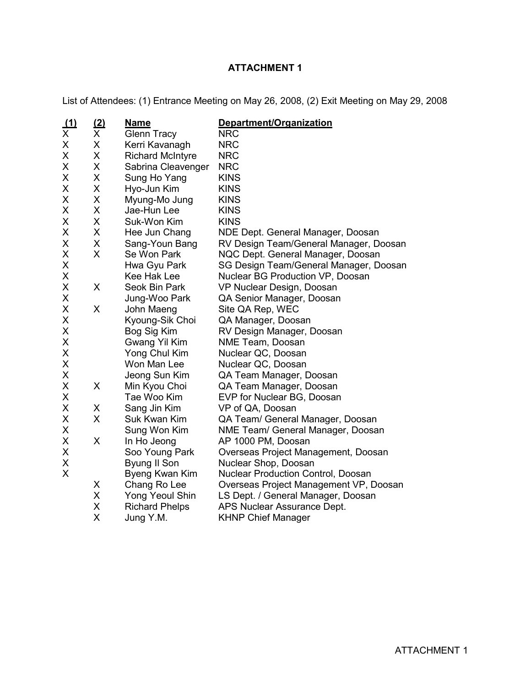# **ATTACHMENT 1**

List of Attendees: (1) Entrance Meeting on May 26, 2008, (2) Exit Meeting on May 29, 2008

| $\frac{(1)}{x}$ | $\frac{(2)}{\times}$ | <b>Name</b>             | Department/Organization                   |
|-----------------|----------------------|-------------------------|-------------------------------------------|
|                 |                      | <b>Glenn Tracy</b>      | <b>NRC</b>                                |
| X               | X                    | Kerri Kavanagh          | <b>NRC</b>                                |
| Χ               | Χ                    | <b>Richard McIntyre</b> | <b>NRC</b>                                |
| X               | Χ                    | Sabrina Cleavenger      | <b>NRC</b>                                |
| Χ               | X                    | Sung Ho Yang            | <b>KINS</b>                               |
| Χ               | X                    | Hyo-Jun Kim             | <b>KINS</b>                               |
| Χ               | X                    | Myung-Mo Jung           | <b>KINS</b>                               |
| Χ               | Χ                    | Jae-Hun Lee             | <b>KINS</b>                               |
| X               | X                    | Suk-Won Kim             | <b>KINS</b>                               |
| Χ               | Χ                    | Hee Jun Chang           | NDE Dept. General Manager, Doosan         |
| X               | Χ                    | Sang-Youn Bang          | RV Design Team/General Manager, Doosan    |
| Χ               | X                    | Se Won Park             | NQC Dept. General Manager, Doosan         |
| Χ               |                      | Hwa Gyu Park            | SG Design Team/General Manager, Doosan    |
| Χ               |                      | Kee Hak Lee             | Nuclear BG Production VP, Doosan          |
| Χ               | X                    | Seok Bin Park           | VP Nuclear Design, Doosan                 |
| Χ               |                      | Jung-Woo Park           | QA Senior Manager, Doosan                 |
| Χ               | X                    | John Maeng              | Site QA Rep, WEC                          |
| X               |                      | Kyoung-Sik Choi         | QA Manager, Doosan                        |
| X               |                      | Bog Sig Kim             | RV Design Manager, Doosan                 |
| X               |                      | Gwang Yil Kim           | NME Team, Doosan                          |
| X               |                      | Yong Chul Kim           | Nuclear QC, Doosan                        |
| X               |                      | Won Man Lee             | Nuclear QC, Doosan                        |
| X               |                      | Jeong Sun Kim           | QA Team Manager, Doosan                   |
| X               | X                    | Min Kyou Choi           | QA Team Manager, Doosan                   |
| X               |                      | Tae Woo Kim             | EVP for Nuclear BG, Doosan                |
| Χ               | X                    | Sang Jin Kim            | VP of QA, Doosan                          |
| Χ               | X                    | Suk Kwan Kim            | QA Team/ General Manager, Doosan          |
| Χ               |                      | Sung Won Kim            | NME Team/ General Manager, Doosan         |
| Χ               | X                    | In Ho Jeong             | AP 1000 PM, Doosan                        |
| Χ               |                      | Soo Young Park          | Overseas Project Management, Doosan       |
| X               |                      | Byung II Son            | Nuclear Shop, Doosan                      |
| X               |                      | Byeng Kwan Kim          | <b>Nuclear Production Control, Doosan</b> |
|                 | X                    | Chang Ro Lee            | Overseas Project Management VP, Doosan    |
|                 | Χ                    | Yong Yeoul Shin         | LS Dept. / General Manager, Doosan        |
|                 | X                    | <b>Richard Phelps</b>   | APS Nuclear Assurance Dept.               |
|                 | Χ                    | Jung Y.M.               | <b>KHNP Chief Manager</b>                 |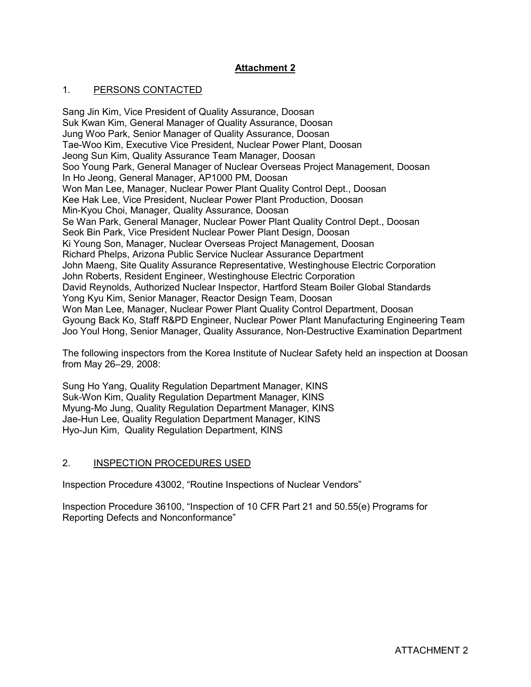## **Attachment 2**

### 1. PERSONS CONTACTED

Sang Jin Kim, Vice President of Quality Assurance, Doosan Suk Kwan Kim, General Manager of Quality Assurance, Doosan Jung Woo Park, Senior Manager of Quality Assurance, Doosan Tae-Woo Kim, Executive Vice President, Nuclear Power Plant, Doosan Jeong Sun Kim, Quality Assurance Team Manager, Doosan Soo Young Park, General Manager of Nuclear Overseas Project Management, Doosan In Ho Jeong, General Manager, AP1000 PM, Doosan Won Man Lee, Manager, Nuclear Power Plant Quality Control Dept., Doosan Kee Hak Lee, Vice President, Nuclear Power Plant Production, Doosan Min-Kyou Choi, Manager, Quality Assurance, Doosan Se Wan Park, General Manager, Nuclear Power Plant Quality Control Dept., Doosan Seok Bin Park, Vice President Nuclear Power Plant Design, Doosan Ki Young Son, Manager, Nuclear Overseas Project Management, Doosan Richard Phelps, Arizona Public Service Nuclear Assurance Department John Maeng, Site Quality Assurance Representative, Westinghouse Electric Corporation John Roberts, Resident Engineer, Westinghouse Electric Corporation David Reynolds, Authorized Nuclear Inspector, Hartford Steam Boiler Global Standards Yong Kyu Kim, Senior Manager, Reactor Design Team, Doosan Won Man Lee, Manager, Nuclear Power Plant Quality Control Department, Doosan Gyoung Back Ko, Staff R&PD Engineer, Nuclear Power Plant Manufacturing Engineering Team Joo Youl Hong, Senior Manager, Quality Assurance, Non-Destructive Examination Department

The following inspectors from the Korea Institute of Nuclear Safety held an inspection at Doosan from May 26–29, 2008:

Sung Ho Yang, Quality Regulation Department Manager, KINS Suk-Won Kim, Quality Regulation Department Manager, KINS Myung-Mo Jung, Quality Regulation Department Manager, KINS Jae-Hun Lee, Quality Regulation Department Manager, KINS Hyo-Jun Kim, Quality Regulation Department, KINS

### 2. INSPECTION PROCEDURES USED

Inspection Procedure 43002, "Routine Inspections of Nuclear Vendors"

Inspection Procedure 36100, "Inspection of 10 CFR Part 21 and 50.55(e) Programs for Reporting Defects and Nonconformance"